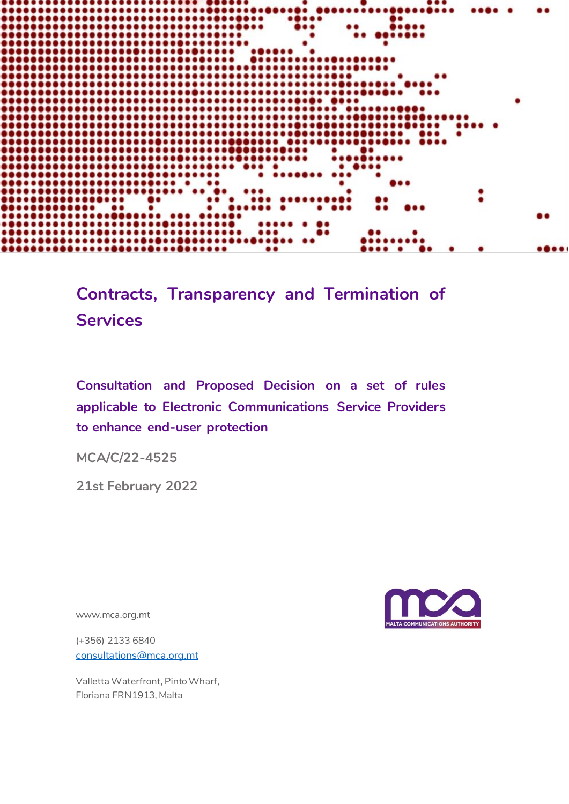

# **Contracts, Transparency and Termination of Services**

**Consultation and Proposed Decision on a set of rules applicable to Electronic Communications Service Providers to enhance end-user protection**

**MCA/C/22-4525**

**21st February 2022**

www.mca.org.mt

(+356) 2133 6840 [consultations@mca.org.mt](mailto:consultations@mca.org.mt)

Valletta Waterfront, Pinto Wharf, Floriana FRN1913, Malta

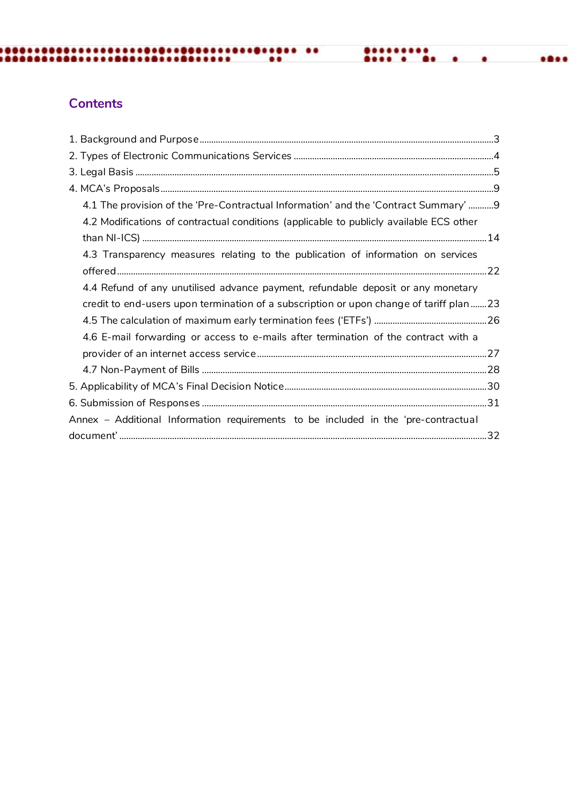# **Contents**

| 4.1 The provision of the 'Pre-Contractual Information' and the 'Contract Summary' 9     |  |
|-----------------------------------------------------------------------------------------|--|
| 4.2 Modifications of contractual conditions (applicable to publicly available ECS other |  |
|                                                                                         |  |
| 4.3 Transparency measures relating to the publication of information on services        |  |
|                                                                                         |  |
| 4.4 Refund of any unutilised advance payment, refundable deposit or any monetary        |  |
| credit to end-users upon termination of a subscription or upon change of tariff plan23  |  |
|                                                                                         |  |
| 4.6 E-mail forwarding or access to e-mails after termination of the contract with a     |  |
|                                                                                         |  |
|                                                                                         |  |
|                                                                                         |  |
|                                                                                         |  |
| Annex – Additional Information requirements to be included in the 'pre-contractual      |  |
|                                                                                         |  |

**MINIMAL** 

 $\bullet\bullet\bullet\bullet$ 

 $\bullet$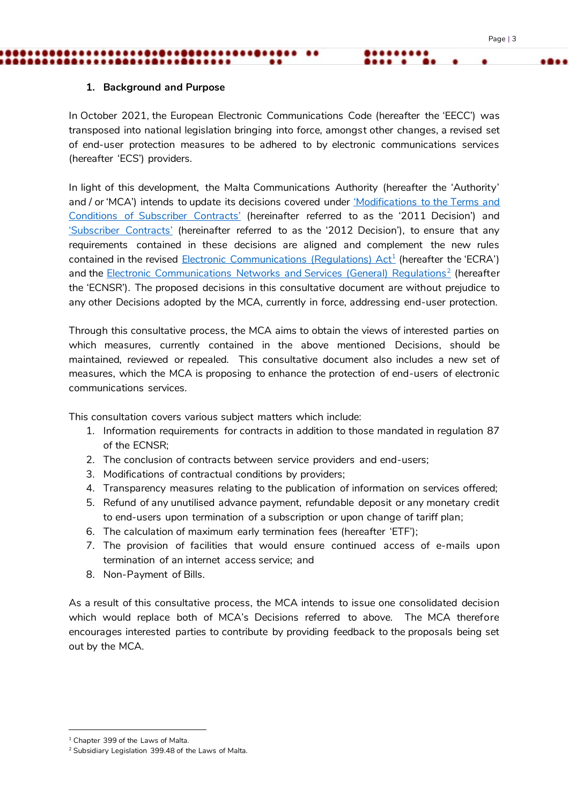#### <span id="page-2-0"></span>**1. Background and Purpose**

In October 2021, the European Electronic Communications Code (hereafter the 'EECC') was transposed into national legislation bringing into force, amongst other changes, a revised set of end-user protection measures to be adhered to by electronic communications services (hereafter 'ECS') providers.

In light of this development, the Malta Communications Authority (hereafter the 'Authority' and / or 'MCA') intends to update its decisions covered under 'Modifications to the Terms and [Conditions of Subscriber Contracts'](https://www.mca.org.mt/sites/default/files/decisions/Decision.pdf) (hereinafter referred to as the '2011 Decision') and ['Subscriber Contracts'](https://www.mca.org.mt/sites/default/files/decisions/2012-09-subscriber-contracts-final-decision%20%28amended%20version%29.pdf) (hereinafter referred to as the '2012 Decision'), to ensure that any requirements contained in these decisions are aligned and complement the new rules contained in the revised <u>Electronic Communications (Regulations) Act<sup>1</sup></u> (hereafter the 'ECRA') and the <u>Electronic Communications Networks and Services (General) Regulations<sup>2</sup> (hereafter</u> the 'ECNSR'). The proposed decisions in this consultative document are without prejudice to any other Decisions adopted by the MCA, currently in force, addressing end-user protection.

Through this consultative process, the MCA aims to obtain the views of interested parties on which measures, currently contained in the above mentioned Decisions, should be maintained, reviewed or repealed. This consultative document also includes a new set of measures, which the MCA is proposing to enhance the protection of end-users of electronic communications services.

This consultation covers various subject matters which include:

- 1. Information requirements for contracts in addition to those mandated in regulation 87 of the ECNSR;
- 2. The conclusion of contracts between service providers and end-users;
- 3. Modifications of contractual conditions by providers;
- 4. Transparency measures relating to the publication of information on services offered;
- 5. Refund of any unutilised advance payment, refundable deposit or any monetary credit to end-users upon termination of a subscription or upon change of tariff plan;
- 6. The calculation of maximum early termination fees (hereafter 'ETF');
- 7. The provision of facilities that would ensure continued access of e-mails upon termination of an internet access service; and
- 8. Non-Payment of Bills.

As a result of this consultative process, the MCA intends to issue one consolidated decision which would replace both of MCA's Decisions referred to above. The MCA therefore encourages interested parties to contribute by providing feedback to the proposals being set out by the MCA.

1

<sup>1</sup> Chapter 399 of the Laws of Malta.

<sup>2</sup> Subsidiary Legislation 399.48 of the Laws of Malta.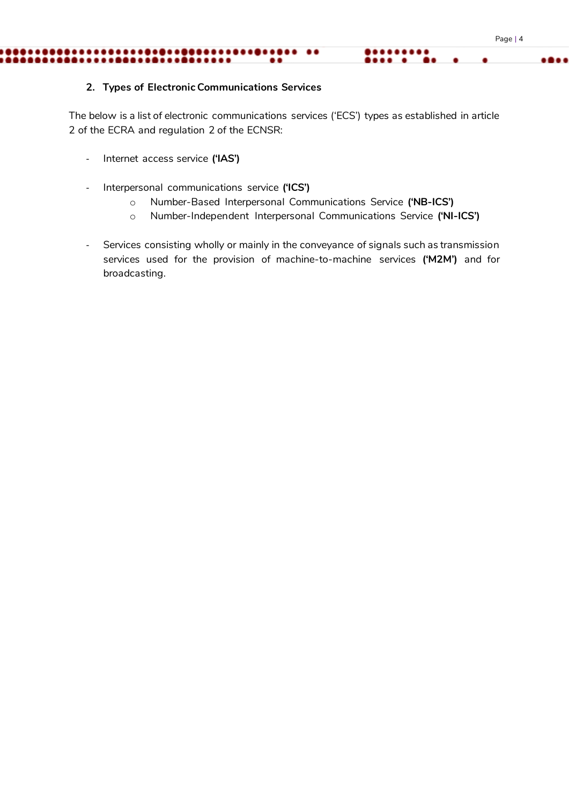#### <span id="page-3-0"></span>**2. Types of Electronic Communications Services**

.........

The below is a list of electronic communications services ('ECS') types as established in article 2 of the ECRA and regulation 2 of the ECNSR:

..

- Internet access service **('IAS')**
- Interpersonal communications service **('ICS')**
	- o Number-Based Interpersonal Communications Service **('NB-ICS')**
	- o Number-Independent Interpersonal Communications Service **('NI-ICS')**
- Services consisting wholly or mainly in the conveyance of signals such as transmission services used for the provision of machine-to-machine services **('M2M')** and for broadcasting.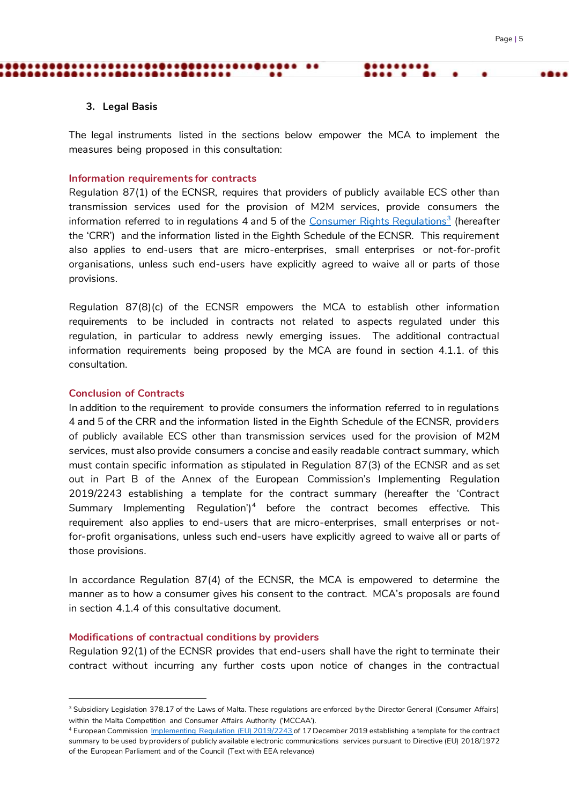#### <span id="page-4-0"></span>**3. Legal Basis**

The legal instruments listed in the sections below empower the MCA to implement the measures being proposed in this consultation:

 $\bullet\bullet$ 

#### **Information requirements for contracts**

Regulation 87(1) of the ECNSR, requires that providers of publicly available ECS other than transmission services used for the provision of M2M services, provide consumers the information referred to in regulations 4 and 5 of the <u>Consumer Rights Regulations<sup>3</sup></u> (hereafter the 'CRR') and the information listed in the Eighth Schedule of the ECNSR. This requirement also applies to end-users that are micro-enterprises, small enterprises or not-for-profit organisations, unless such end-users have explicitly agreed to waive all or parts of those provisions.

Regulation 87(8)(c) of the ECNSR empowers the MCA to establish other information requirements to be included in contracts not related to aspects regulated under this regulation, in particular to address newly emerging issues. The additional contractual information requirements being proposed by the MCA are found in section 4.1.1. of this consultation.

#### **Conclusion of Contracts**

j

In addition to the requirement to provide consumers the information referred to in regulations 4 and 5 of the CRR and the information listed in the Eighth Schedule of the ECNSR, providers of publicly available ECS other than transmission services used for the provision of M2M services, must also provide consumers a concise and easily readable contract summary, which must contain specific information as stipulated in Regulation 87(3) of the ECNSR and as set out in Part B of the Annex of the European Commission's Implementing Regulation 2019/2243 establishing a template for the contract summary (hereafter the 'Contract Summary Implementing Regulation')<sup>4</sup> before the contract becomes effective. This requirement also applies to end-users that are micro-enterprises, small enterprises or notfor-profit organisations, unless such end-users have explicitly agreed to waive all or parts of those provisions.

In accordance Regulation 87(4) of the ECNSR, the MCA is empowered to determine the manner as to how a consumer gives his consent to the contract. MCA's proposals are found in section 4.1.4 of this consultative document.

#### **Modifications of contractual conditions by providers**

Regulation 92(1) of the ECNSR provides that end-users shall have the right to terminate their contract without incurring any further costs upon notice of changes in the contractual

<sup>&</sup>lt;sup>3</sup> Subsidiary Legislation 378.17 of the Laws of Malta. These regulations are enforced by the Director General (Consumer Affairs) within the Malta Competition and Consumer Affairs Authority ('MCCAA').

<sup>4</sup> European Commission [Implementing Regulation \(EU\) 2019/2243](https://eur-lex.europa.eu/legal-content/EN/TXT/PDF/?uri=CELEX:32019R2243&from=EN) of 17 December 2019 establishing a template for the contract summary to be used by providers of publicly available electronic communications services pursuant to Directive (EU) 2018/1972 of the European Parliament and of the Council (Text with EEA relevance)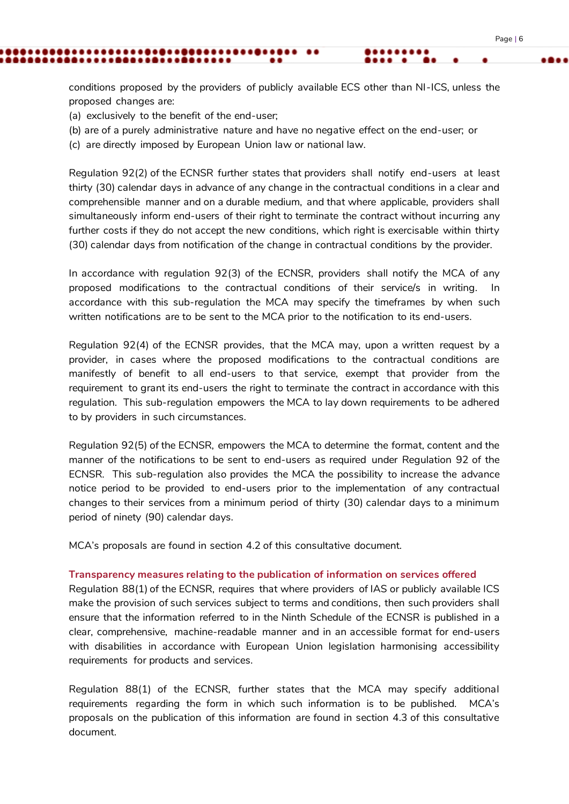conditions proposed by the providers of publicly available ECS other than NI-ICS, unless the proposed changes are:

..

- (a) exclusively to the benefit of the end-user;
- (b) are of a purely administrative nature and have no negative effect on the end-user; or
- (c) are directly imposed by European Union law or national law.

Regulation 92(2) of the ECNSR further states that providers shall notify end-users at least thirty (30) calendar days in advance of any change in the contractual conditions in a clear and comprehensible manner and on a durable medium, and that where applicable, providers shall simultaneously inform end-users of their right to terminate the contract without incurring any further costs if they do not accept the new conditions, which right is exercisable within thirty (30) calendar days from notification of the change in contractual conditions by the provider.

In accordance with regulation 92(3) of the ECNSR, providers shall notify the MCA of any proposed modifications to the contractual conditions of their service/s in writing. In accordance with this sub-regulation the MCA may specify the timeframes by when such written notifications are to be sent to the MCA prior to the notification to its end-users.

Regulation 92(4) of the ECNSR provides, that the MCA may, upon a written request by a provider, in cases where the proposed modifications to the contractual conditions are manifestly of benefit to all end-users to that service, exempt that provider from the requirement to grant its end-users the right to terminate the contract in accordance with this regulation. This sub-regulation empowers the MCA to lay down requirements to be adhered to by providers in such circumstances.

Regulation 92(5) of the ECNSR, empowers the MCA to determine the format, content and the manner of the notifications to be sent to end-users as required under Regulation 92 of the ECNSR. This sub-regulation also provides the MCA the possibility to increase the advance notice period to be provided to end-users prior to the implementation of any contractual changes to their services from a minimum period of thirty (30) calendar days to a minimum period of ninety (90) calendar days.

MCA's proposals are found in section 4.2 of this consultative document.

#### **Transparency measures relating to the publication of information on services offered**

Regulation 88(1) of the ECNSR, requires that where providers of IAS or publicly available ICS make the provision of such services subject to terms and conditions, then such providers shall ensure that the information referred to in the Ninth Schedule of the ECNSR is published in a clear, comprehensive, machine-readable manner and in an accessible format for end-users with disabilities in accordance with European Union legislation harmonising accessibility requirements for products and services.

Regulation 88(1) of the ECNSR, further states that the MCA may specify additional requirements regarding the form in which such information is to be published. MCA's proposals on the publication of this information are found in section 4.3 of this consultative document.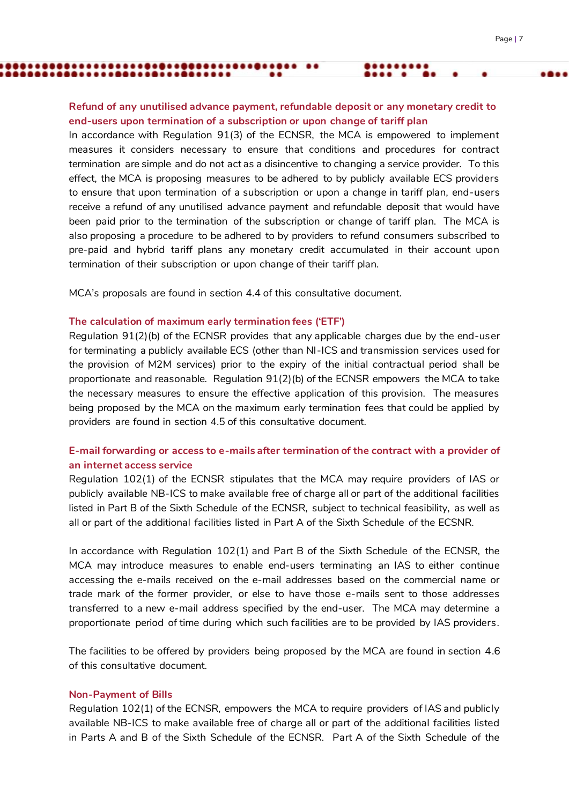Page | 7

# **Refund of any unutilised advance payment, refundable deposit or any monetary credit to end-users upon termination of a subscription or upon change of tariff plan**

In accordance with Regulation 91(3) of the ECNSR, the MCA is empowered to implement measures it considers necessary to ensure that conditions and procedures for contract termination are simple and do not act as a disincentive to changing a service provider. To this effect, the MCA is proposing measures to be adhered to by publicly available ECS providers to ensure that upon termination of a subscription or upon a change in tariff plan, end-users receive a refund of any unutilised advance payment and refundable deposit that would have been paid prior to the termination of the subscription or change of tariff plan. The MCA is also proposing a procedure to be adhered to by providers to refund consumers subscribed to pre-paid and hybrid tariff plans any monetary credit accumulated in their account upon termination of their subscription or upon change of their tariff plan.

MCA's proposals are found in section 4.4 of this consultative document.

#### **The calculation of maximum early termination fees ('ETF')**

................

Regulation 91(2)(b) of the ECNSR provides that any applicable charges due by the end-user for terminating a publicly available ECS (other than NI-ICS and transmission services used for the provision of M2M services) prior to the expiry of the initial contractual period shall be proportionate and reasonable. Regulation  $91(2)$ (b) of the ECNSR empowers the MCA to take the necessary measures to ensure the effective application of this provision. The measures being proposed by the MCA on the maximum early termination fees that could be applied by providers are found in section 4.5 of this consultative document.

# **E-mail forwarding or access to e-mails after termination of the contract with a provider of an internet access service**

Regulation 102(1) of the ECNSR stipulates that the MCA may require providers of IAS or publicly available NB-ICS to make available free of charge all or part of the additional facilities listed in Part B of the Sixth Schedule of the ECNSR, subject to technical feasibility, as well as all or part of the additional facilities listed in Part A of the Sixth Schedule of the ECSNR.

In accordance with Regulation 102(1) and Part B of the Sixth Schedule of the ECNSR, the MCA may introduce measures to enable end-users terminating an IAS to either continue accessing the e-mails received on the e-mail addresses based on the commercial name or trade mark of the former provider, or else to have those e-mails sent to those addresses transferred to a new e-mail address specified by the end-user. The MCA may determine a proportionate period of time during which such facilities are to be provided by IAS providers.

The facilities to be offered by providers being proposed by the MCA are found in section 4.6 of this consultative document.

#### **Non-Payment of Bills**

Regulation 102(1) of the ECNSR, empowers the MCA to require providers of IAS and publicly available NB-ICS to make available free of charge all or part of the additional facilities listed in Parts A and B of the Sixth Schedule of the ECNSR. Part A of the Sixth Schedule of the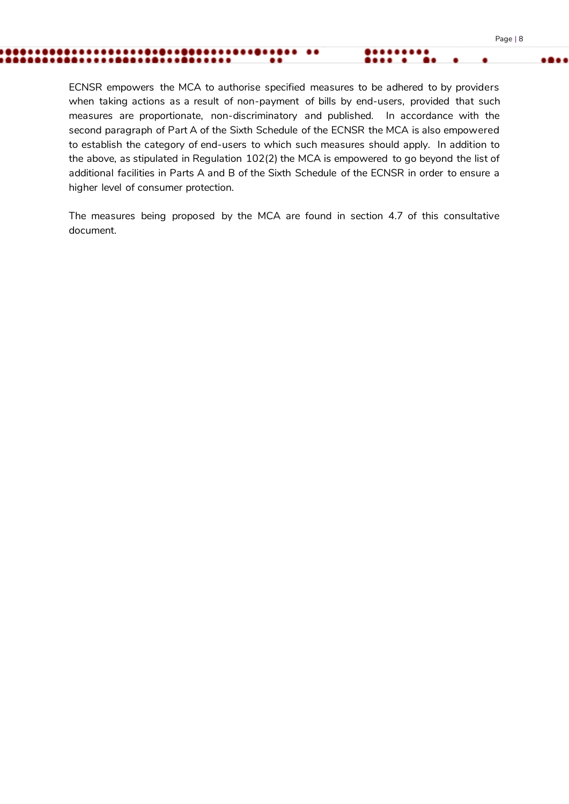ECNSR empowers the MCA to authorise specified measures to be adhered to by providers when taking actions as a result of non-payment of bills by end-users, provided that such measures are proportionate, non-discriminatory and published. In accordance with the second paragraph of Part A of the Sixth Schedule of the ECNSR the MCA is also empowered to establish the category of end-users to which such measures should apply. In addition to the above, as stipulated in Regulation 102(2) the MCA is empowered to go beyond the list of additional facilities in Parts A and B of the Sixth Schedule of the ECNSR in order to ensure a higher level of consumer protection.

..

..................

The measures being proposed by the MCA are found in section 4.7 of this consultative document.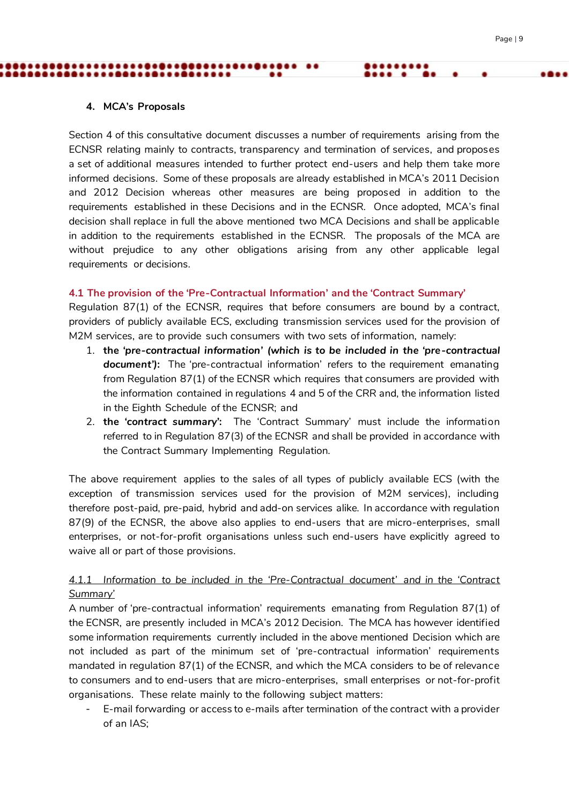#### <span id="page-8-0"></span>**4. MCA's Proposals**

Section 4 of this consultative document discusses a number of requirements arising from the ECNSR relating mainly to contracts, transparency and termination of services, and proposes a set of additional measures intended to further protect end-users and help them take more informed decisions. Some of these proposals are already established in MCA's 2011 Decision and 2012 Decision whereas other measures are being proposed in addition to the requirements established in these Decisions and in the ECNSR. Once adopted, MCA's final decision shall replace in full the above mentioned two MCA Decisions and shall be applicable in addition to the requirements established in the ECNSR. The proposals of the MCA are without prejudice to any other obligations arising from any other applicable legal requirements or decisions.

 $\bullet \bullet$ 

#### <span id="page-8-1"></span>**4.1 The provision of the 'Pre-Contractual Information' and the 'Contract Summary'**

Regulation 87(1) of the ECNSR, requires that before consumers are bound by a contract, providers of publicly available ECS, excluding transmission services used for the provision of M2M services, are to provide such consumers with two sets of information, namely:

- 1. **the** *'pre-contractual information' (which is to be included in the 'pre-contractual document')***:** The 'pre-contractual information' refers to the requirement emanating from Regulation 87(1) of the ECNSR which requires that consumers are provided with the information contained in regulations 4 and 5 of the CRR and, the information listed in the Eighth Schedule of the ECNSR; and
- 2. **the** *'contract summary'***:** The 'Contract Summary' must include the information referred to in Regulation 87(3) of the ECNSR and shall be provided in accordance with the Contract Summary Implementing Regulation.

The above requirement applies to the sales of all types of publicly available ECS (with the exception of transmission services used for the provision of M2M services), including therefore post-paid, pre-paid, hybrid and add-on services alike. In accordance with regulation 87(9) of the ECNSR, the above also applies to end-users that are micro-enterprises, small enterprises, or not-for-profit organisations unless such end-users have explicitly agreed to waive all or part of those provisions.

# *4.1.1 Information to be included in the 'Pre-Contractual document' and in the 'Contract Summary'*

A number of 'pre-contractual information' requirements emanating from Regulation 87(1) of the ECNSR, are presently included in MCA's 2012 Decision. The MCA has however identified some information requirements currently included in the above mentioned Decision which are not included as part of the minimum set of 'pre-contractual information' requirements mandated in regulation 87(1) of the ECNSR, and which the MCA considers to be of relevance to consumers and to end-users that are micro-enterprises, small enterprises or not-for-profit organisations. These relate mainly to the following subject matters:

- E-mail forwarding or access to e-mails after termination of the contract with a provider of an IAS;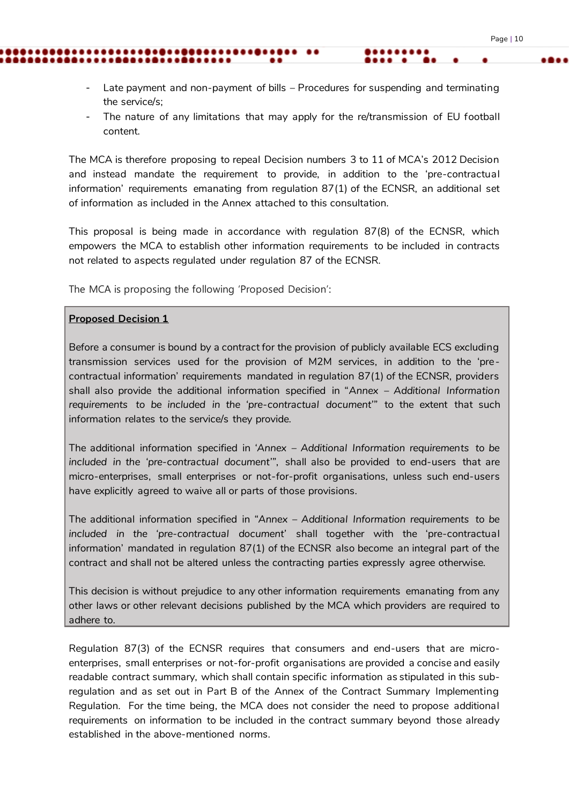- Late payment and non-payment of bills Procedures for suspending and terminating the service/s;
- The nature of any limitations that may apply for the re/transmission of EU football content.

The MCA is therefore proposing to repeal Decision numbers 3 to 11 of MCA's 2012 Decision and instead mandate the requirement to provide, in addition to the 'pre-contractual information' requirements emanating from regulation 87(1) of the ECNSR, an additional set of information as included in the Annex attached to this consultation.

This proposal is being made in accordance with regulation 87(8) of the ECNSR, which empowers the MCA to establish other information requirements to be included in contracts not related to aspects regulated under regulation 87 of the ECNSR.

The MCA is proposing the following 'Proposed Decision':

#### **Proposed Decision 1**

Before a consumer is bound by a contract for the provision of publicly available ECS excluding transmission services used for the provision of M2M services, in addition to the 'precontractual information' requirements mandated in regulation 87(1) of the ECNSR, providers shall also provide the additional information specified in "*Annex – Additional Information requirements to be included in the 'pre-contractual document'"* to the extent that such information relates to the service/s they provide.

The additional information specified in *'Annex – Additional Information requirements to be included in the 'pre-contractual document'"*, shall also be provided to end-users that are micro-enterprises, small enterprises or not-for-profit organisations, unless such end-users have explicitly agreed to waive all or parts of those provisions.

The additional information specified in *"Annex – Additional Information requirements to be included in the 'pre-contractual document'* shall together with the 'pre-contractual information' mandated in regulation 87(1) of the ECNSR also become an integral part of the contract and shall not be altered unless the contracting parties expressly agree otherwise.

This decision is without prejudice to any other information requirements emanating from any other laws or other relevant decisions published by the MCA which providers are required to adhere to.

Regulation 87(3) of the ECNSR requires that consumers and end-users that are microenterprises, small enterprises or not-for-profit organisations are provided a concise and easily readable contract summary, which shall contain specific information as stipulated in this subregulation and as set out in Part B of the Annex of the Contract Summary Implementing Regulation. For the time being, the MCA does not consider the need to propose additional requirements on information to be included in the contract summary beyond those already established in the above-mentioned norms.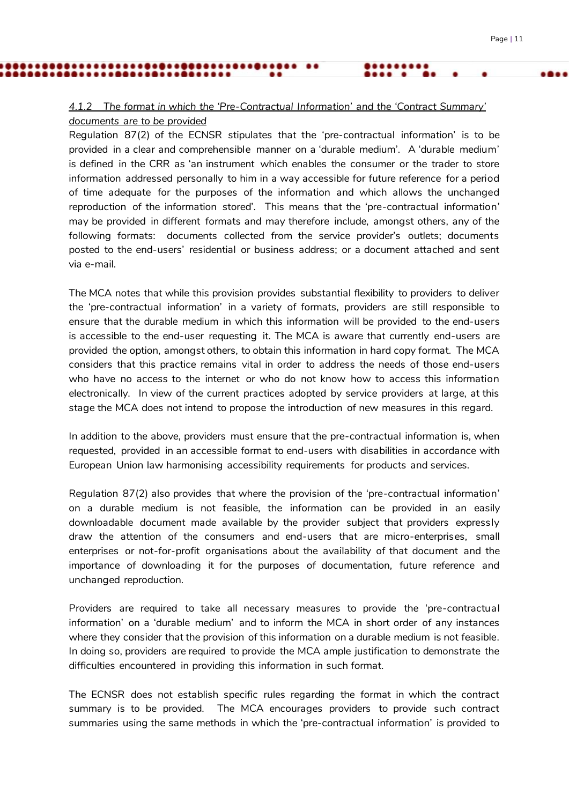# *4.1.2 The format in which the 'Pre-Contractual Information' and the 'Contract Summary' documents are to be provided*

 $\bullet \bullet$ 

......................

Regulation 87(2) of the ECNSR stipulates that the 'pre-contractual information' is to be provided in a clear and comprehensible manner on a 'durable medium'. A 'durable medium' is defined in the CRR as 'an instrument which enables the consumer or the trader to store information addressed personally to him in a way accessible for future reference for a period of time adequate for the purposes of the information and which allows the unchanged reproduction of the information stored'. This means that the 'pre-contractual information' may be provided in different formats and may therefore include, amongst others, any of the following formats: documents collected from the service provider's outlets; documents posted to the end-users' residential or business address; or a document attached and sent via e-mail.

The MCA notes that while this provision provides substantial flexibility to providers to deliver the 'pre-contractual information' in a variety of formats, providers are still responsible to ensure that the durable medium in which this information will be provided to the end-users is accessible to the end-user requesting it. The MCA is aware that currently end-users are provided the option, amongst others, to obtain this information in hard copy format. The MCA considers that this practice remains vital in order to address the needs of those end-users who have no access to the internet or who do not know how to access this information electronically. In view of the current practices adopted by service providers at large, at this stage the MCA does not intend to propose the introduction of new measures in this regard.

In addition to the above, providers must ensure that the pre-contractual information is, when requested, provided in an accessible format to end-users with disabilities in accordance with European Union law harmonising accessibility requirements for products and services.

Regulation 87(2) also provides that where the provision of the 'pre-contractual information' on a durable medium is not feasible, the information can be provided in an easily downloadable document made available by the provider subject that providers expressly draw the attention of the consumers and end-users that are micro-enterprises, small enterprises or not-for-profit organisations about the availability of that document and the importance of downloading it for the purposes of documentation, future reference and unchanged reproduction.

Providers are required to take all necessary measures to provide the 'pre-contractual information' on a 'durable medium' and to inform the MCA in short order of any instances where they consider that the provision of this information on a durable medium is not feasible. In doing so, providers are required to provide the MCA ample justification to demonstrate the difficulties encountered in providing this information in such format.

The ECNSR does not establish specific rules regarding the format in which the contract summary is to be provided. The MCA encourages providers to provide such contract summaries using the same methods in which the 'pre-contractual information' is provided to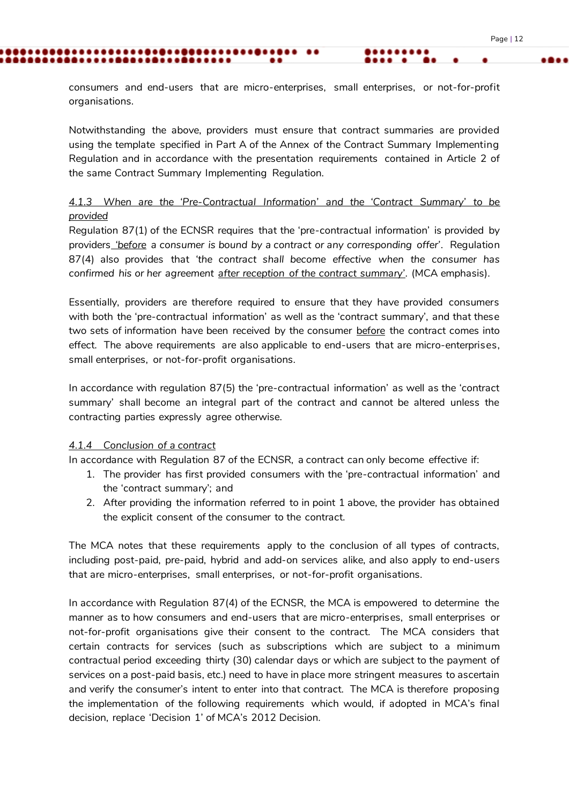consumers and end-users that are micro-enterprises, small enterprises, or not-for-profit organisations.

..

Notwithstanding the above, providers must ensure that contract summaries are provided using the template specified in Part A of the Annex of the Contract Summary Implementing Regulation and in accordance with the presentation requirements contained in Article 2 of the same Contract Summary Implementing Regulation.

# *4.1.3 When are the 'Pre-Contractual Information' and the 'Contract Summary' to be provided*

Regulation 87(1) of the ECNSR requires that the 'pre-contractual information' is provided by providers *'before a consumer is bound by a contract or any corresponding offer'*. Regulation 87(4) also provides that *'the contract shall become effective when the consumer has confirmed his or her agreement after reception of the contract summary'*. (MCA emphasis).

Essentially, providers are therefore required to ensure that they have provided consumers with both the 'pre-contractual information' as well as the 'contract summary', and that these two sets of information have been received by the consumer before the contract comes into effect. The above requirements are also applicable to end-users that are micro-enterprises, small enterprises, or not-for-profit organisations.

In accordance with regulation 87(5) the 'pre-contractual information' as well as the 'contract summary' shall become an integral part of the contract and cannot be altered unless the contracting parties expressly agree otherwise.

# *4.1.4 Conclusion of a contract*

In accordance with Regulation 87 of the ECNSR, a contract can only become effective if:

- 1. The provider has first provided consumers with the 'pre-contractual information' and the 'contract summary'; and
- 2. After providing the information referred to in point 1 above, the provider has obtained the explicit consent of the consumer to the contract.

The MCA notes that these requirements apply to the conclusion of all types of contracts, including post-paid, pre-paid, hybrid and add-on services alike, and also apply to end-users that are micro-enterprises, small enterprises, or not-for-profit organisations.

In accordance with Regulation 87(4) of the ECNSR, the MCA is empowered to determine the manner as to how consumers and end-users that are micro-enterprises, small enterprises or not-for-profit organisations give their consent to the contract. The MCA considers that certain contracts for services (such as subscriptions which are subject to a minimum contractual period exceeding thirty (30) calendar days or which are subject to the payment of services on a post-paid basis, etc.) need to have in place more stringent measures to ascertain and verify the consumer's intent to enter into that contract. The MCA is therefore proposing the implementation of the following requirements which would, if adopted in MCA's final decision, replace 'Decision 1' of MCA's 2012 Decision.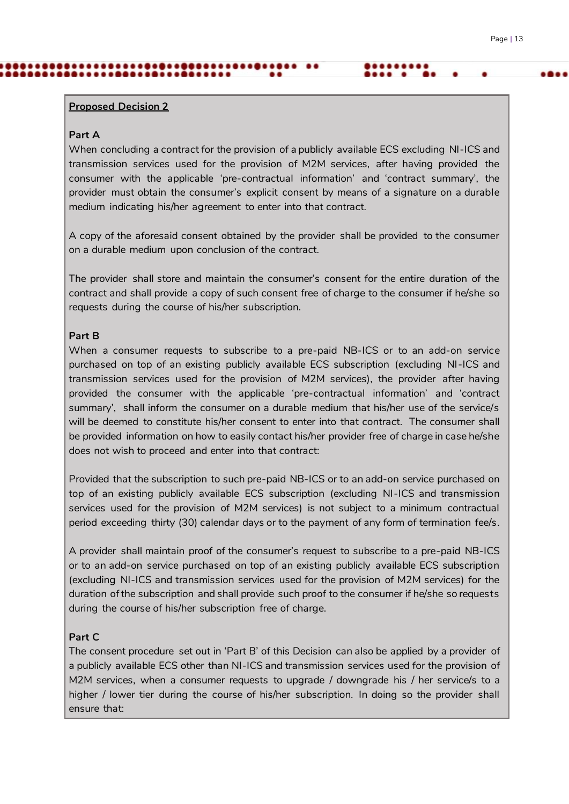#### **Part A**

When concluding a contract for the provision of a publicly available ECS excluding NI-ICS and transmission services used for the provision of M2M services, after having provided the consumer with the applicable 'pre-contractual information' and 'contract summary', the provider must obtain the consumer's explicit consent by means of a signature on a durable medium indicating his/her agreement to enter into that contract.

..

A copy of the aforesaid consent obtained by the provider shall be provided to the consumer on a durable medium upon conclusion of the contract.

The provider shall store and maintain the consumer's consent for the entire duration of the contract and shall provide a copy of such consent free of charge to the consumer if he/she so requests during the course of his/her subscription.

#### **Part B**

When a consumer requests to subscribe to a pre-paid NB-ICS or to an add-on service purchased on top of an existing publicly available ECS subscription (excluding NI-ICS and transmission services used for the provision of M2M services), the provider after having provided the consumer with the applicable 'pre-contractual information' and 'contract summary', shall inform the consumer on a durable medium that his/her use of the service/s will be deemed to constitute his/her consent to enter into that contract. The consumer shall be provided information on how to easily contact his/her provider free of charge in case he/she does not wish to proceed and enter into that contract:

Provided that the subscription to such pre-paid NB-ICS or to an add-on service purchased on top of an existing publicly available ECS subscription (excluding NI-ICS and transmission services used for the provision of M2M services) is not subject to a minimum contractual period exceeding thirty (30) calendar days or to the payment of any form of termination fee/s.

A provider shall maintain proof of the consumer's request to subscribe to a pre-paid NB-ICS or to an add-on service purchased on top of an existing publicly available ECS subscription (excluding NI-ICS and transmission services used for the provision of M2M services) for the duration of the subscription and shall provide such proof to the consumer if he/she so requests during the course of his/her subscription free of charge.

#### **Part C**

The consent procedure set out in 'Part B' of this Decision can also be applied by a provider of a publicly available ECS other than NI-ICS and transmission services used for the provision of M2M services, when a consumer requests to upgrade / downgrade his / her service/s to a higher / lower tier during the course of his/her subscription. In doing so the provider shall ensure that: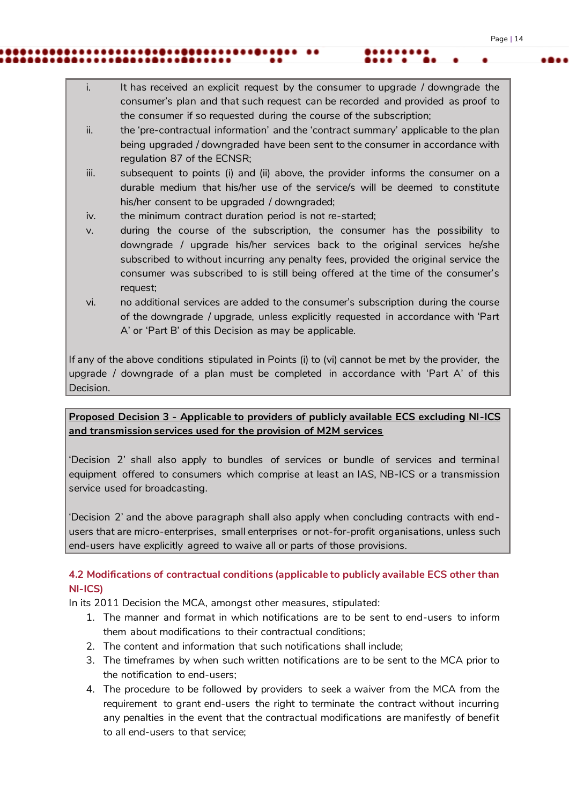i. It has received an explicit request by the consumer to upgrade / downgrade the consumer's plan and that such request can be recorded and provided as proof to the consumer if so requested during the course of the subscription;

..

- ii. the 'pre-contractual information' and the 'contract summary' applicable to the plan being upgraded / downgraded have been sent to the consumer in accordance with regulation 87 of the ECNSR;
- iii. subsequent to points (i) and (ii) above, the provider informs the consumer on a durable medium that his/her use of the service/s will be deemed to constitute his/her consent to be upgraded / downgraded;
- iv. the minimum contract duration period is not re-started;
- v. during the course of the subscription, the consumer has the possibility to downgrade / upgrade his/her services back to the original services he/she subscribed to without incurring any penalty fees, provided the original service the consumer was subscribed to is still being offered at the time of the consumer's request;
- vi. no additional services are added to the consumer's subscription during the course of the downgrade / upgrade, unless explicitly requested in accordance with 'Part A' or 'Part B' of this Decision as may be applicable.

If any of the above conditions stipulated in Points (i) to (vi) cannot be met by the provider, the upgrade / downgrade of a plan must be completed in accordance with 'Part A' of this Decision.

**Proposed Decision 3 - Applicable to providers of publicly available ECS excluding NI-ICS and transmission services used for the provision of M2M services**

'Decision 2' shall also apply to bundles of services or bundle of services and terminal equipment offered to consumers which comprise at least an IAS, NB-ICS or a transmission service used for broadcasting.

'Decision 2' and the above paragraph shall also apply when concluding contracts with endusers that are micro-enterprises, small enterprises or not-for-profit organisations, unless such end-users have explicitly agreed to waive all or parts of those provisions.

# <span id="page-13-0"></span>**4.2 Modifications of contractual conditions (applicable to publicly available ECS other than NI-ICS)**

In its 2011 Decision the MCA, amongst other measures, stipulated:

- 1. The manner and format in which notifications are to be sent to end-users to inform them about modifications to their contractual conditions;
- 2. The content and information that such notifications shall include;
- 3. The timeframes by when such written notifications are to be sent to the MCA prior to the notification to end-users;
- 4. The procedure to be followed by providers to seek a waiver from the MCA from the requirement to grant end-users the right to terminate the contract without incurring any penalties in the event that the contractual modifications are manifestly of benefit to all end-users to that service;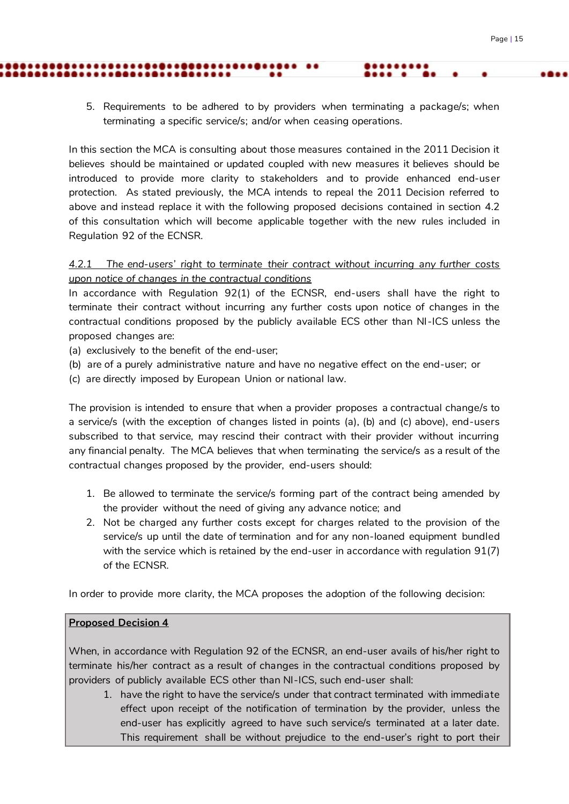5. Requirements to be adhered to by providers when terminating a package/s; when terminating a specific service/s; and/or when ceasing operations.

 $\bullet \bullet$ 

In this section the MCA is consulting about those measures contained in the 2011 Decision it believes should be maintained or updated coupled with new measures it believes should be introduced to provide more clarity to stakeholders and to provide enhanced end-user protection. As stated previously, the MCA intends to repeal the 2011 Decision referred to above and instead replace it with the following proposed decisions contained in section 4.2 of this consultation which will become applicable together with the new rules included in Regulation 92 of the ECNSR.

# *4.2.1 The end-users' right to terminate their contract without incurring any further costs upon notice of changes in the contractual conditions*

In accordance with Regulation 92(1) of the ECNSR, end-users shall have the right to terminate their contract without incurring any further costs upon notice of changes in the contractual conditions proposed by the publicly available ECS other than NI-ICS unless the proposed changes are:

- (a) exclusively to the benefit of the end-user;
- (b) are of a purely administrative nature and have no negative effect on the end-user; or
- (c) are directly imposed by European Union or national law.

The provision is intended to ensure that when a provider proposes a contractual change/s to a service/s (with the exception of changes listed in points (a), (b) and (c) above), end-users subscribed to that service, may rescind their contract with their provider without incurring any financial penalty. The MCA believes that when terminating the service/s as a result of the contractual changes proposed by the provider, end-users should:

- 1. Be allowed to terminate the service/s forming part of the contract being amended by the provider without the need of giving any advance notice; and
- 2. Not be charged any further costs except for charges related to the provision of the service/s up until the date of termination and for any non-loaned equipment bundled with the service which is retained by the end-user in accordance with regulation 91(7) of the ECNSR.

In order to provide more clarity, the MCA proposes the adoption of the following decision:

#### **Proposed Decision 4**

When, in accordance with Regulation 92 of the ECNSR, an end-user avails of his/her right to terminate his/her contract as a result of changes in the contractual conditions proposed by providers of publicly available ECS other than NI-ICS, such end-user shall:

1. have the right to have the service/s under that contract terminated with immediate effect upon receipt of the notification of termination by the provider, unless the end-user has explicitly agreed to have such service/s terminated at a later date. This requirement shall be without prejudice to the end-user's right to port their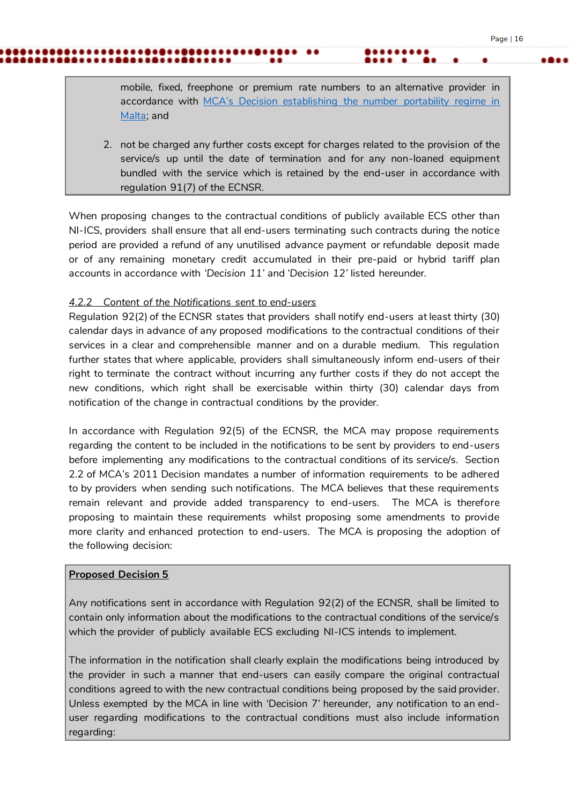mobile, fixed, freephone or premium rate numbers to an alternative provider in accordance with [MCA's Decision establishing the number portability regime in](https://www.mca.org.mt/numbering/number-portability-np)  [Malta;](https://www.mca.org.mt/numbering/number-portability-np) and

..

2. not be charged any further costs except for charges related to the provision of the service/s up until the date of termination and for any non-loaned equipment bundled with the service which is retained by the end-user in accordance with regulation 91(7) of the ECNSR.

When proposing changes to the contractual conditions of publicly available ECS other than NI-ICS, providers shall ensure that all end-users terminating such contracts during the notice period are provided a refund of any unutilised advance payment or refundable deposit made or of any remaining monetary credit accumulated in their pre-paid or hybrid tariff plan accounts in accordance with *'Decision 11'* and *'Decision 12'* listed hereunder.

# *4.2.2 Content of the Notifications sent to end-users*

Regulation 92(2) of the ECNSR states that providers shall notify end-users at least thirty (30) calendar days in advance of any proposed modifications to the contractual conditions of their services in a clear and comprehensible manner and on a durable medium. This regulation further states that where applicable, providers shall simultaneously inform end-users of their right to terminate the contract without incurring any further costs if they do not accept the new conditions, which right shall be exercisable within thirty (30) calendar days from notification of the change in contractual conditions by the provider.

In accordance with Regulation 92(5) of the ECNSR, the MCA may propose requirements regarding the content to be included in the notifications to be sent by providers to end-users before implementing any modifications to the contractual conditions of its service/s. Section 2.2 of MCA's 2011 Decision mandates a number of information requirements to be adhered to by providers when sending such notifications. The MCA believes that these requirements remain relevant and provide added transparency to end-users. The MCA is therefore proposing to maintain these requirements whilst proposing some amendments to provide more clarity and enhanced protection to end-users. The MCA is proposing the adoption of the following decision:

#### **Proposed Decision 5**

Any notifications sent in accordance with Regulation 92(2) of the ECNSR, shall be limited to contain only information about the modifications to the contractual conditions of the service/s which the provider of publicly available ECS excluding NI-ICS intends to implement.

The information in the notification shall clearly explain the modifications being introduced by the provider in such a manner that end-users can easily compare the original contractual conditions agreed to with the new contractual conditions being proposed by the said provider. Unless exempted by the MCA in line with 'Decision 7' hereunder, any notification to an enduser regarding modifications to the contractual conditions must also include information regarding: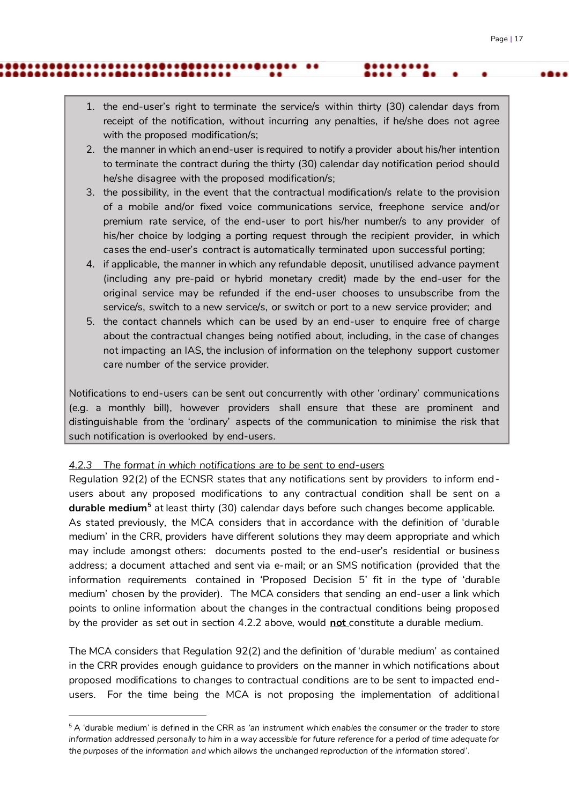1. the end-user's right to terminate the service/s within thirty (30) calendar days from receipt of the notification, without incurring any penalties, if he/she does not agree with the proposed modification/s;

..

...................

- 2. the manner in which an end-user is required to notify a provider about his/her intention to terminate the contract during the thirty (30) calendar day notification period should he/she disagree with the proposed modification/s;
- 3. the possibility, in the event that the contractual modification/s relate to the provision of a mobile and/or fixed voice communications service, freephone service and/or premium rate service, of the end-user to port his/her number/s to any provider of his/her choice by lodging a porting request through the recipient provider, in which cases the end-user's contract is automatically terminated upon successful porting;
- 4. if applicable, the manner in which any refundable deposit, unutilised advance payment (including any pre-paid or hybrid monetary credit) made by the end-user for the original service may be refunded if the end-user chooses to unsubscribe from the service/s, switch to a new service/s, or switch or port to a new service provider; and
- 5. the contact channels which can be used by an end-user to enquire free of charge about the contractual changes being notified about, including, in the case of changes not impacting an IAS, the inclusion of information on the telephony support customer care number of the service provider.

Notifications to end-users can be sent out concurrently with other 'ordinary' communications (e.g. a monthly bill), however providers shall ensure that these are prominent and distinguishable from the 'ordinary' aspects of the communication to minimise the risk that such notification is overlooked by end-users.

# *4.2.3 The format in which notifications are to be sent to end-users*

j

Regulation 92(2) of the ECNSR states that any notifications sent by providers to inform endusers about any proposed modifications to any contractual condition shall be sent on a **durable medium<sup>5</sup>** at least thirty (30) calendar days before such changes become applicable. As stated previously, the MCA considers that in accordance with the definition of 'durable medium' in the CRR, providers have different solutions they may deem appropriate and which may include amongst others: documents posted to the end-user's residential or business address; a document attached and sent via e-mail; or an SMS notification (provided that the information requirements contained in 'Proposed Decision 5' fit in the type of 'durable medium' chosen by the provider). The MCA considers that sending an end-user a link which points to online information about the changes in the contractual conditions being proposed by the provider as set out in section 4.2.2 above, would **not** constitute a durable medium.

The MCA considers that Regulation 92(2) and the definition of 'durable medium' as contained in the CRR provides enough guidance to providers on the manner in which notifications about proposed modifications to changes to contractual conditions are to be sent to impacted endusers. For the time being the MCA is not proposing the implementation of additional

<sup>5</sup> A 'durable medium' is defined in the CRR as *'an instrument which enables the consumer or the trader to store information addressed personally to him in a way accessible for future reference for a period of time adequate for the purposes of the information and which allows the unchanged reproduction of the information stored'*.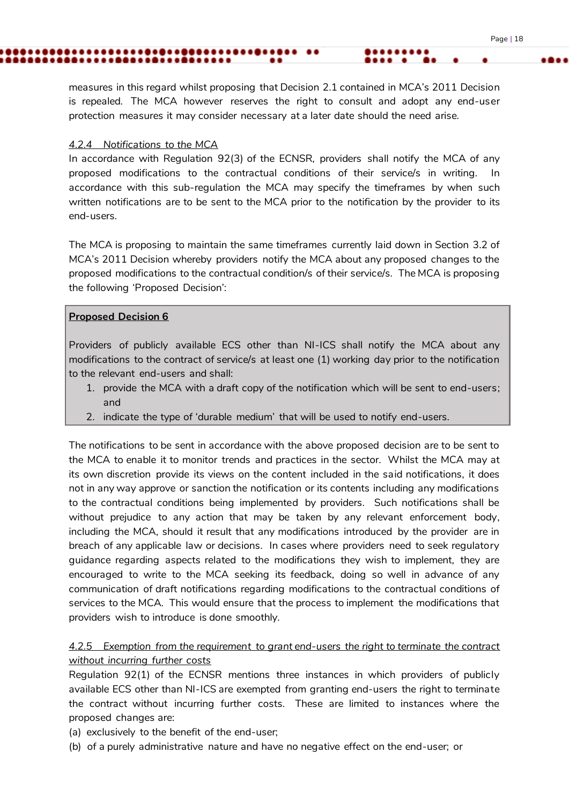measures in this regard whilst proposing that Decision 2.1 contained in MCA's 2011 Decision is repealed. The MCA however reserves the right to consult and adopt any end-user protection measures it may consider necessary at a later date should the need arise.

..

#### *4.2.4 Notifications to the MCA*

In accordance with Regulation 92(3) of the ECNSR, providers shall notify the MCA of any proposed modifications to the contractual conditions of their service/s in writing. In accordance with this sub-regulation the MCA may specify the timeframes by when such written notifications are to be sent to the MCA prior to the notification by the provider to its end-users.

The MCA is proposing to maintain the same timeframes currently laid down in Section 3.2 of MCA's 2011 Decision whereby providers notify the MCA about any proposed changes to the proposed modifications to the contractual condition/s of their service/s. The MCA is proposing the following 'Proposed Decision':

# **Proposed Decision 6**

Providers of publicly available ECS other than NI-ICS shall notify the MCA about any modifications to the contract of service/s at least one (1) working day prior to the notification to the relevant end-users and shall:

- 1. provide the MCA with a draft copy of the notification which will be sent to end-users; and
- 2. indicate the type of 'durable medium' that will be used to notify end-users.

The notifications to be sent in accordance with the above proposed decision are to be sent to the MCA to enable it to monitor trends and practices in the sector. Whilst the MCA may at its own discretion provide its views on the content included in the said notifications, it does not in any way approve or sanction the notification or its contents including any modifications to the contractual conditions being implemented by providers. Such notifications shall be without prejudice to any action that may be taken by any relevant enforcement body, including the MCA, should it result that any modifications introduced by the provider are in breach of any applicable law or decisions. In cases where providers need to seek regulatory guidance regarding aspects related to the modifications they wish to implement, they are encouraged to write to the MCA seeking its feedback, doing so well in advance of any communication of draft notifications regarding modifications to the contractual conditions of services to the MCA. This would ensure that the process to implement the modifications that providers wish to introduce is done smoothly.

# *4.2.5 Exemption from the requirement to grant end-users the right to terminate the contract without incurring further costs*

Regulation 92(1) of the ECNSR mentions three instances in which providers of publicly available ECS other than NI-ICS are exempted from granting end-users the right to terminate the contract without incurring further costs. These are limited to instances where the proposed changes are:

(a) exclusively to the benefit of the end-user;

(b) of a purely administrative nature and have no negative effect on the end-user; or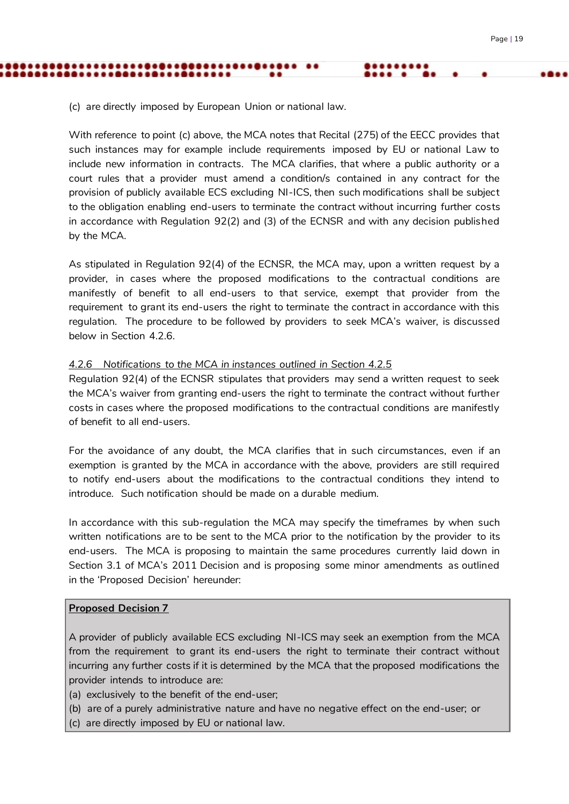(c) are directly imposed by European Union or national law.

With reference to point (c) above, the MCA notes that Recital (275) of the EECC provides that such instances may for example include requirements imposed by EU or national Law to include new information in contracts. The MCA clarifies, that where a public authority or a court rules that a provider must amend a condition/s contained in any contract for the provision of publicly available ECS excluding NI-ICS, then such modifications shall be subject to the obligation enabling end-users to terminate the contract without incurring further costs in accordance with Regulation 92(2) and (3) of the ECNSR and with any decision published by the MCA.

 $\bullet \bullet$ 

As stipulated in Regulation 92(4) of the ECNSR, the MCA may, upon a written request by a provider, in cases where the proposed modifications to the contractual conditions are manifestly of benefit to all end-users to that service, exempt that provider from the requirement to grant its end-users the right to terminate the contract in accordance with this regulation. The procedure to be followed by providers to seek MCA's waiver, is discussed below in Section 4.2.6.

#### *4.2.6 Notifications to the MCA in instances outlined in Section 4.2.5*

Regulation 92(4) of the ECNSR stipulates that providers may send a written request to seek the MCA's waiver from granting end-users the right to terminate the contract without further costs in cases where the proposed modifications to the contractual conditions are manifestly of benefit to all end-users.

For the avoidance of any doubt, the MCA clarifies that in such circumstances, even if an exemption is granted by the MCA in accordance with the above, providers are still required to notify end-users about the modifications to the contractual conditions they intend to introduce. Such notification should be made on a durable medium.

In accordance with this sub-regulation the MCA may specify the timeframes by when such written notifications are to be sent to the MCA prior to the notification by the provider to its end-users. The MCA is proposing to maintain the same procedures currently laid down in Section 3.1 of MCA's 2011 Decision and is proposing some minor amendments as outlined in the 'Proposed Decision' hereunder:

#### **Proposed Decision 7**

A provider of publicly available ECS excluding NI-ICS may seek an exemption from the MCA from the requirement to grant its end-users the right to terminate their contract without incurring any further costs if it is determined by the MCA that the proposed modifications the provider intends to introduce are:

- (a) exclusively to the benefit of the end-user;
- (b) are of a purely administrative nature and have no negative effect on the end-user; or
- (c) are directly imposed by EU or national law.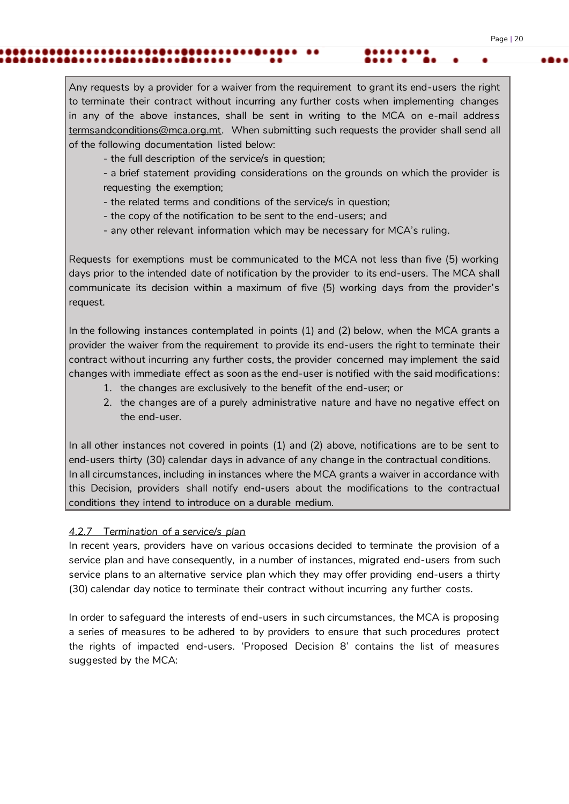Any requests by a provider for a waiver from the requirement to grant its end-users the right to terminate their contract without incurring any further costs when implementing changes in any of the above instances, shall be sent in writing to the MCA on e-mail address [termsandconditions@mca.org.mt.](mailto:termsandconditions@mca.org.mt) When submitting such requests the provider shall send [all](mailto:termsandconditions@mca.org.mt) of the following documentation listed below:

- the full description of the service/s in question;

- a brief statement providing considerations on the grounds on which the provider is requesting the exemption;

- the related terms and conditions of the service/s in question;

- the copy of the notification to be sent to the end-users; and
- any other relevant information which may be necessary for MCA's ruling.

Requests for exemptions must be communicated to the MCA not less than five (5) working days prior to the intended date of notification by the provider to its end-users. The MCA shall communicate its decision within a maximum of five (5) working days from the provider's request.

In the following instances contemplated in points (1) and (2) below, when the MCA grants a provider the waiver from the requirement to provide its end-users the right to terminate their contract without incurring any further costs, the provider concerned may implement the said changes with immediate effect as soon as the end-user is notified with the said modifications:

- 1. the changes are exclusively to the benefit of the end-user; or
- 2. the changes are of a purely administrative nature and have no negative effect on the end-user.

In all other instances not covered in points (1) and (2) above, notifications are to be sent to end-users thirty (30) calendar days in advance of any change in the contractual conditions. In all circumstances, including in instances where the MCA grants a waiver in accordance with this Decision, providers shall notify end-users about the modifications to the contractual conditions they intend to introduce on a durable medium.

#### *4.2.7 Termination of a service/s plan*

In recent years, providers have on various occasions decided to terminate the provision of a service plan and have consequently, in a number of instances, migrated end-users from such service plans to an alternative service plan which they may offer providing end-users a thirty (30) calendar day notice to terminate their contract without incurring any further costs.

In order to safeguard the interests of end-users in such circumstances, the MCA is proposing a series of measures to be adhered to by providers to ensure that such procedures protect the rights of impacted end-users. 'Proposed Decision 8' contains the list of measures suggested by the MCA: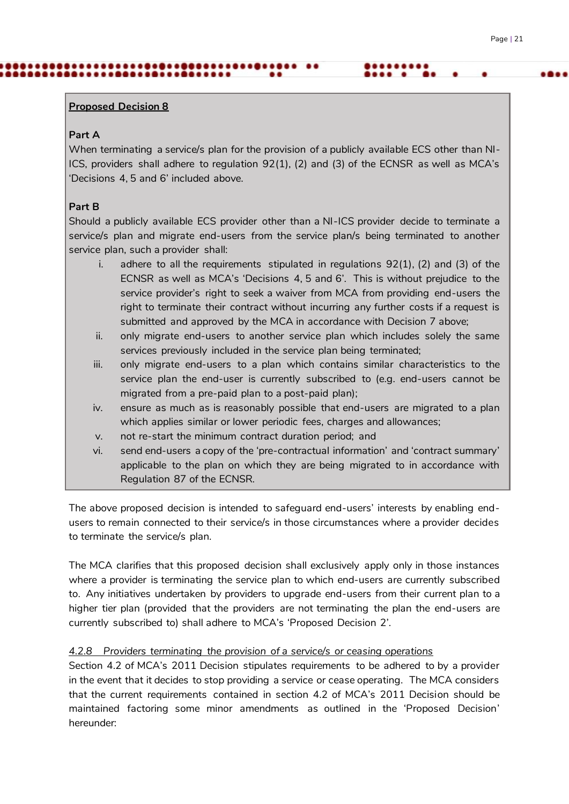### **Part A**

When terminating a service/s plan for the provision of a publicly available ECS other than NI-ICS, providers shall adhere to regulation 92(1), (2) and (3) of the ECNSR as well as MCA's 'Decisions 4, 5 and 6' included above.

 $\bullet\bullet$ 

# **Part B**

Should a publicly available ECS provider other than a NI-ICS provider decide to terminate a service/s plan and migrate end-users from the service plan/s being terminated to another service plan, such a provider shall:

- i. adhere to all the requirements stipulated in regulations 92(1), (2) and (3) of the ECNSR as well as MCA's 'Decisions 4, 5 and 6'. This is without prejudice to the service provider's right to seek a waiver from MCA from providing end-users the right to terminate their contract without incurring any further costs if a request is submitted and approved by the MCA in accordance with Decision 7 above;
- ii. only migrate end-users to another service plan which includes solely the same services previously included in the service plan being terminated;
- iii. only migrate end-users to a plan which contains similar characteristics to the service plan the end-user is currently subscribed to (e.g. end-users cannot be migrated from a pre-paid plan to a post-paid plan);
- iv. ensure as much as is reasonably possible that end-users are migrated to a plan which applies similar or lower periodic fees, charges and allowances;
- v. not re-start the minimum contract duration period; and
- vi. send end-users a copy of the 'pre-contractual information' and 'contract summary' applicable to the plan on which they are being migrated to in accordance with Regulation 87 of the ECNSR.

The above proposed decision is intended to safeguard end-users' interests by enabling endusers to remain connected to their service/s in those circumstances where a provider decides to terminate the service/s plan.

The MCA clarifies that this proposed decision shall exclusively apply only in those instances where a provider is terminating the service plan to which end-users are currently subscribed to. Any initiatives undertaken by providers to upgrade end-users from their current plan to a higher tier plan (provided that the providers are not terminating the plan the end-users are currently subscribed to) shall adhere to MCA's 'Proposed Decision 2'.

### *4.2.8 Providers terminating the provision of a service/s or ceasing operations*

Section 4.2 of MCA's 2011 Decision stipulates requirements to be adhered to by a provider in the event that it decides to stop providing a service or cease operating. The MCA considers that the current requirements contained in section 4.2 of MCA's 2011 Decision should be maintained factoring some minor amendments as outlined in the 'Proposed Decision' hereunder: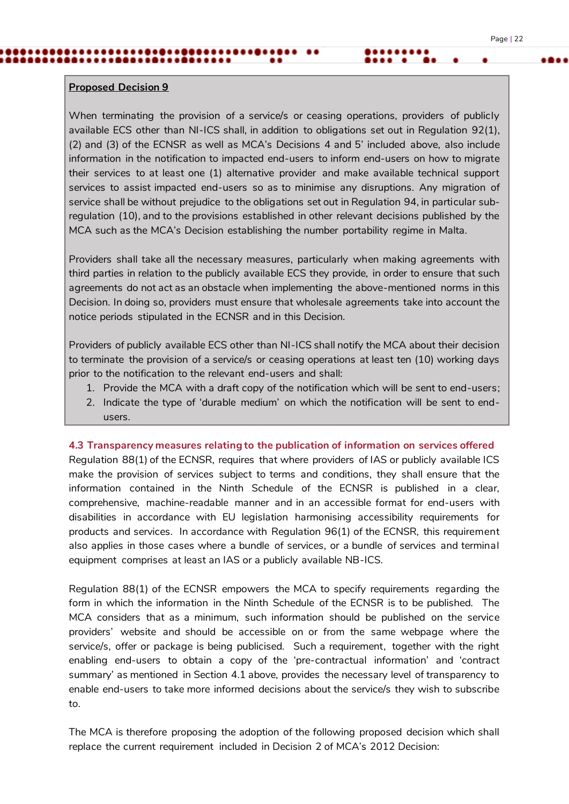When terminating the provision of a service/s or ceasing operations, providers of publicly available ECS other than NI-ICS shall, in addition to obligations set out in Regulation 92(1), (2) and (3) of the ECNSR as well as MCA's Decisions 4 and 5' included above, also include information in the notification to impacted end-users to inform end-users on how to migrate their services to at least one (1) alternative provider and make available technical support services to assist impacted end-users so as to minimise any disruptions. Any migration of service shall be without prejudice to the obligations set out in Regulation 94, in particular subregulation (10), and to the provisions established in other relevant decisions published by the MCA such as the MCA's Decision establishing the number portability regime in Malta.

..

Providers shall take all the necessary measures, particularly when making agreements with third parties in relation to the publicly available ECS they provide, in order to ensure that such agreements do not act as an obstacle when implementing the above-mentioned norms in this Decision. In doing so, providers must ensure that wholesale agreements take into account the notice periods stipulated in the ECNSR and in this Decision.

Providers of publicly available ECS other than NI-ICS shall notify the MCA about their decision to terminate the provision of a service/s or ceasing operations at least ten (10) working days prior to the notification to the relevant end-users and shall:

- 1. Provide the MCA with a draft copy of the notification which will be sent to end-users;
- 2. Indicate the type of 'durable medium' on which the notification will be sent to endusers.

#### <span id="page-21-0"></span>**4.3 Transparency measures relating to the publication of information on services offered**

Regulation 88(1) of the ECNSR, requires that where providers of IAS or publicly available ICS make the provision of services subject to terms and conditions, they shall ensure that the information contained in the Ninth Schedule of the ECNSR is published in a clear, comprehensive, machine-readable manner and in an accessible format for end-users with disabilities in accordance with EU legislation harmonising accessibility requirements for products and services. In accordance with Regulation 96(1) of the ECNSR, this requirement also applies in those cases where a bundle of services, or a bundle of services and terminal equipment comprises at least an IAS or a publicly available NB-ICS.

Regulation 88(1) of the ECNSR empowers the MCA to specify requirements regarding the form in which the information in the Ninth Schedule of the ECNSR is to be published. The MCA considers that as a minimum, such information should be published on the service providers' website and should be accessible on or from the same webpage where the service/s, offer or package is being publicised. Such a requirement, together with the right enabling end-users to obtain a copy of the 'pre-contractual information' and 'contract summary' as mentioned in Section 4.1 above, provides the necessary level of transparency to enable end-users to take more informed decisions about the service/s they wish to subscribe to.

The MCA is therefore proposing the adoption of the following proposed decision which shall replace the current requirement included in Decision 2 of MCA's 2012 Decision: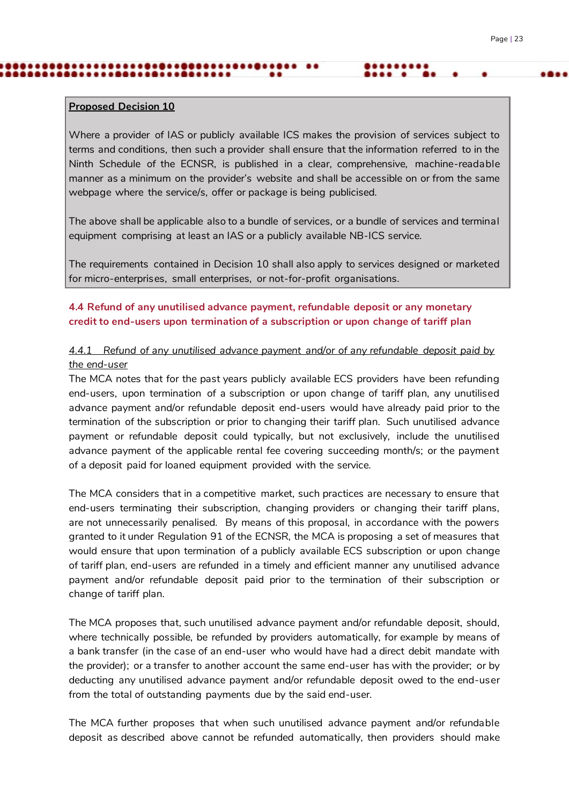Where a provider of IAS or publicly available ICS makes the provision of services subject to terms and conditions, then such a provider shall ensure that the information referred to in the Ninth Schedule of the ECNSR, is published in a clear, comprehensive, machine-readable manner as a minimum on the provider's website and shall be accessible on or from the same webpage where the service/s, offer or package is being publicised.

..

The above shall be applicable also to a bundle of services, or a bundle of services and terminal equipment comprising at least an IAS or a publicly available NB-ICS service.

The requirements contained in Decision 10 shall also apply to services designed or marketed for micro-enterprises, small enterprises, or not-for-profit organisations.

# <span id="page-22-0"></span>**4.4 Refund of any unutilised advance payment, refundable deposit or any monetary credit to end-users upon termination of a subscription or upon change of tariff plan**

# *4.4.1 Refund of any unutilised advance payment and/or of any refundable deposit paid by the end-user*

The MCA notes that for the past years publicly available ECS providers have been refunding end-users, upon termination of a subscription or upon change of tariff plan, any unutilised advance payment and/or refundable deposit end-users would have already paid prior to the termination of the subscription or prior to changing their tariff plan. Such unutilised advance payment or refundable deposit could typically, but not exclusively, include the unutilised advance payment of the applicable rental fee covering succeeding month/s; or the payment of a deposit paid for loaned equipment provided with the service.

The MCA considers that in a competitive market, such practices are necessary to ensure that end-users terminating their subscription, changing providers or changing their tariff plans, are not unnecessarily penalised. By means of this proposal, in accordance with the powers granted to it under Regulation 91 of the ECNSR, the MCA is proposing a set of measures that would ensure that upon termination of a publicly available ECS subscription or upon change of tariff plan, end-users are refunded in a timely and efficient manner any unutilised advance payment and/or refundable deposit paid prior to the termination of their subscription or change of tariff plan.

The MCA proposes that, such unutilised advance payment and/or refundable deposit, should, where technically possible, be refunded by providers automatically, for example by means of a bank transfer (in the case of an end-user who would have had a direct debit mandate with the provider); or a transfer to another account the same end-user has with the provider; or by deducting any unutilised advance payment and/or refundable deposit owed to the end-user from the total of outstanding payments due by the said end-user.

The MCA further proposes that when such unutilised advance payment and/or refundable deposit as described above cannot be refunded automatically, then providers should make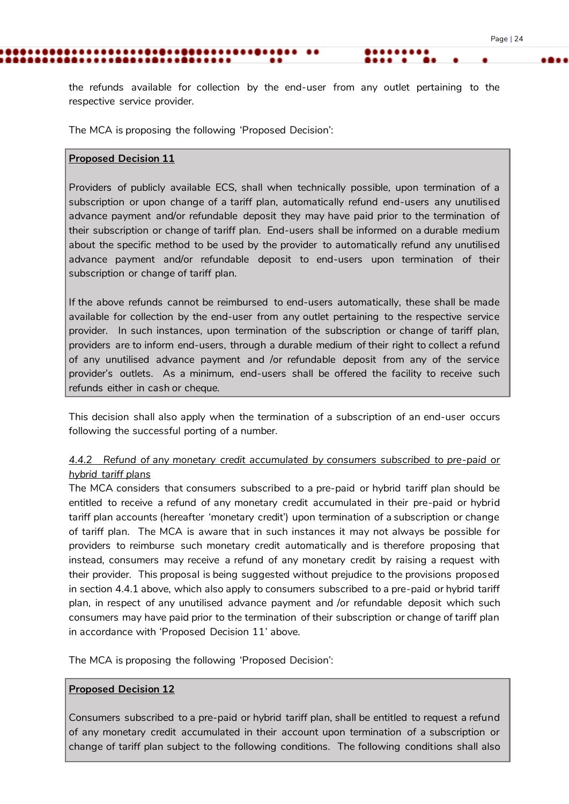the refunds available for collection by the end-user from any outlet pertaining to the respective service provider.

The MCA is proposing the following 'Proposed Decision':

#### **Proposed Decision 11**

Providers of publicly available ECS, shall when technically possible, upon termination of a subscription or upon change of a tariff plan, automatically refund end-users any unutilised advance payment and/or refundable deposit they may have paid prior to the termination of their subscription or change of tariff plan. End-users shall be informed on a durable medium about the specific method to be used by the provider to automatically refund any unutilised advance payment and/or refundable deposit to end-users upon termination of their subscription or change of tariff plan.

If the above refunds cannot be reimbursed to end-users automatically, these shall be made available for collection by the end-user from any outlet pertaining to the respective service provider. In such instances, upon termination of the subscription or change of tariff plan, providers are to inform end-users, through a durable medium of their right to collect a refund of any unutilised advance payment and /or refundable deposit from any of the service provider's outlets. As a minimum, end-users shall be offered the facility to receive such refunds either in cash or cheque.

This decision shall also apply when the termination of a subscription of an end-user occurs following the successful porting of a number.

# *4.4.2 Refund of any monetary credit accumulated by consumers subscribed to pre-paid or hybrid tariff plans*

The MCA considers that consumers subscribed to a pre-paid or hybrid tariff plan should be entitled to receive a refund of any monetary credit accumulated in their pre-paid or hybrid tariff plan accounts (hereafter 'monetary credit') upon termination of a subscription or change of tariff plan. The MCA is aware that in such instances it may not always be possible for providers to reimburse such monetary credit automatically and is therefore proposing that instead, consumers may receive a refund of any monetary credit by raising a request with their provider. This proposal is being suggested without prejudice to the provisions proposed in section 4.4.1 above, which also apply to consumers subscribed to a pre-paid or hybrid tariff plan, in respect of any unutilised advance payment and /or refundable deposit which such consumers may have paid prior to the termination of their subscription or change of tariff plan in accordance with 'Proposed Decision 11' above.

The MCA is proposing the following 'Proposed Decision':

#### **Proposed Decision 12**

Consumers subscribed to a pre-paid or hybrid tariff plan, shall be entitled to request a refund of any monetary credit accumulated in their account upon termination of a subscription or change of tariff plan subject to the following conditions. The following conditions shall also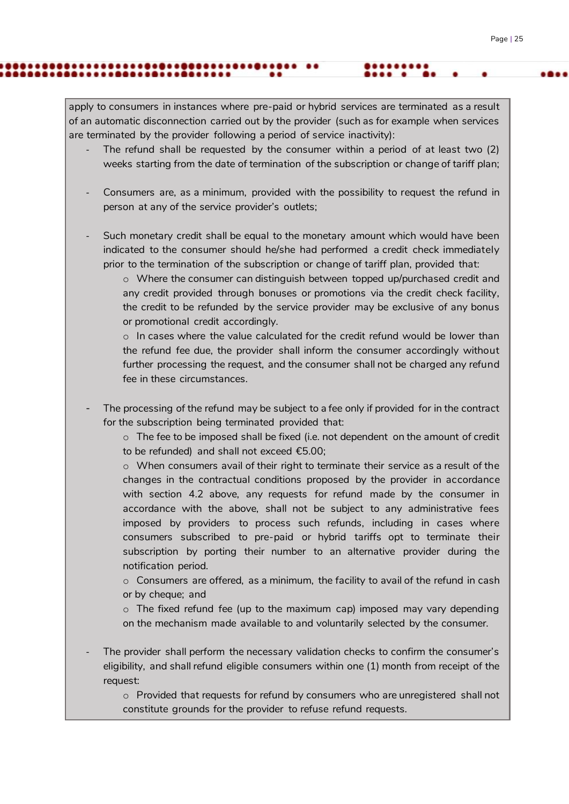apply to consumers in instances where pre-paid or hybrid services are terminated as a result of an automatic disconnection carried out by the provider (such as for example when services are terminated by the provider following a period of service inactivity):

- The refund shall be requested by the consumer within a period of at least two  $(2)$ weeks starting from the date of termination of the subscription or change of tariff plan;
- Consumers are, as a minimum, provided with the possibility to request the refund in person at any of the service provider's outlets;
- Such monetary credit shall be equal to the monetary amount which would have been indicated to the consumer should he/she had performed a credit check immediately prior to the termination of the subscription or change of tariff plan, provided that:
	- o Where the consumer can distinguish between topped up/purchased credit and any credit provided through bonuses or promotions via the credit check facility, the credit to be refunded by the service provider may be exclusive of any bonus or promotional credit accordingly.
	- $\circ$  In cases where the value calculated for the credit refund would be lower than the refund fee due, the provider shall inform the consumer accordingly without further processing the request, and the consumer shall not be charged any refund fee in these circumstances.
- The processing of the refund may be subject to a fee only if provided for in the contract for the subscription being terminated provided that:
	- $\circ$  The fee to be imposed shall be fixed (i.e. not dependent on the amount of credit to be refunded) and shall not exceed €5.00;
	- $\circ$  When consumers avail of their right to terminate their service as a result of the changes in the contractual conditions proposed by the provider in accordance with section 4.2 above, any requests for refund made by the consumer in accordance with the above, shall not be subject to any administrative fees imposed by providers to process such refunds, including in cases where consumers subscribed to pre-paid or hybrid tariffs opt to terminate their subscription by porting their number to an alternative provider during the notification period.
	- $\circ$  Consumers are offered, as a minimum, the facility to avail of the refund in cash or by cheque; and
	- $\circ$  The fixed refund fee (up to the maximum cap) imposed may vary depending on the mechanism made available to and voluntarily selected by the consumer.
- The provider shall perform the necessary validation checks to confirm the consumer's eligibility, and shall refund eligible consumers within one (1) month from receipt of the request:
	- o Provided that requests for refund by consumers who are unregistered shall not constitute grounds for the provider to refuse refund requests.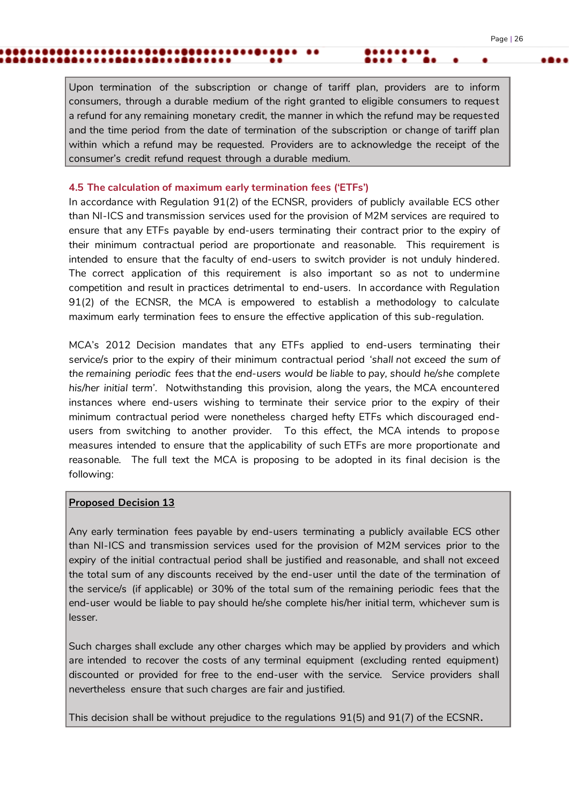Upon termination of the subscription or change of tariff plan, providers are to inform consumers, through a durable medium of the right granted to eligible consumers to request a refund for any remaining monetary credit, the manner in which the refund may be requested and the time period from the date of termination of the subscription or change of tariff plan within which a refund may be requested. Providers are to acknowledge the receipt of the consumer's credit refund request through a durable medium.

..

#### <span id="page-25-0"></span>**4.5 The calculation of maximum early termination fees ('ETFs')**

In accordance with Regulation 91(2) of the ECNSR, providers of publicly available ECS other than NI-ICS and transmission services used for the provision of M2M services are required to ensure that any ETFs payable by end-users terminating their contract prior to the expiry of their minimum contractual period are proportionate and reasonable. This requirement is intended to ensure that the faculty of end-users to switch provider is not unduly hindered. The correct application of this requirement is also important so as not to undermine competition and result in practices detrimental to end-users. In accordance with Regulation 91(2) of the ECNSR, the MCA is empowered to establish a methodology to calculate maximum early termination fees to ensure the effective application of this sub-regulation.

MCA's 2012 Decision mandates that any ETFs applied to end-users terminating their service/s prior to the expiry of their minimum contractual period *'shall not exceed the sum of the remaining periodic fees that the end-users would be liable to pay, should he/she complete his/her initial term'*. Notwithstanding this provision, along the years, the MCA encountered instances where end-users wishing to terminate their service prior to the expiry of their minimum contractual period were nonetheless charged hefty ETFs which discouraged endusers from switching to another provider. To this effect, the MCA intends to propose measures intended to ensure that the applicability of such ETFs are more proportionate and reasonable. The full text the MCA is proposing to be adopted in its final decision is the following:

#### **Proposed Decision 13**

Any early termination fees payable by end-users terminating a publicly available ECS other than NI-ICS and transmission services used for the provision of M2M services prior to the expiry of the initial contractual period shall be justified and reasonable, and shall not exceed the total sum of any discounts received by the end-user until the date of the termination of the service/s (if applicable) or 30% of the total sum of the remaining periodic fees that the end-user would be liable to pay should he/she complete his/her initial term, whichever sum is lesser.

Such charges shall exclude any other charges which may be applied by providers and which are intended to recover the costs of any terminal equipment (excluding rented equipment) discounted or provided for free to the end-user with the service. Service providers shall nevertheless ensure that such charges are fair and justified.

This decision shall be without prejudice to the regulations 91(5) and 91(7) of the ECSNR**.**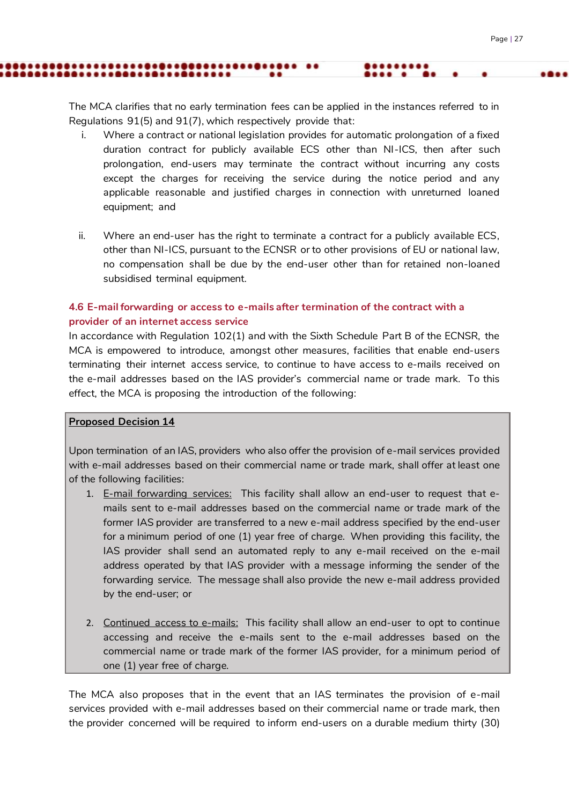The MCA clarifies that no early termination fees can be applied in the instances referred to in Regulations 91(5) and 91(7), which respectively provide that:

 $\bullet \bullet$ 

- i. Where a contract or national legislation provides for automatic prolongation of a fixed duration contract for publicly available ECS other than NI-ICS, then after such prolongation, end-users may terminate the contract without incurring any costs except the charges for receiving the service during the notice period and any applicable reasonable and justified charges in connection with unreturned loaned equipment; and
- ii. Where an end-user has the right to terminate a contract for a publicly available ECS, other than NI-ICS, pursuant to the ECNSR or to other provisions of EU or national law, no compensation shall be due by the end-user other than for retained non-loaned subsidised terminal equipment.

# <span id="page-26-0"></span>**4.6 E-mail forwarding or access to e-mails after termination of the contract with a provider of an internet access service**

In accordance with Regulation 102(1) and with the Sixth Schedule Part B of the ECNSR, the MCA is empowered to introduce, amongst other measures, facilities that enable end-users terminating their internet access service, to continue to have access to e-mails received on the e-mail addresses based on the IAS provider's commercial name or trade mark. To this effect, the MCA is proposing the introduction of the following:

#### **Proposed Decision 14**

................

Upon termination of an IAS, providers who also offer the provision of e-mail services provided with e-mail addresses based on their commercial name or trade mark, shall offer at least one of the following facilities:

- 1. E-mail forwarding services: This facility shall allow an end-user to request that emails sent to e-mail addresses based on the commercial name or trade mark of the former IAS provider are transferred to a new e-mail address specified by the end-user for a minimum period of one (1) year free of charge. When providing this facility, the IAS provider shall send an automated reply to any e-mail received on the e-mail address operated by that IAS provider with a message informing the sender of the forwarding service. The message shall also provide the new e-mail address provided by the end-user; or
- 2. Continued access to e-mails: This facility shall allow an end-user to opt to continue accessing and receive the e-mails sent to the e-mail addresses based on the commercial name or trade mark of the former IAS provider, for a minimum period of one (1) year free of charge.

The MCA also proposes that in the event that an IAS terminates the provision of e-mail services provided with e-mail addresses based on their commercial name or trade mark, then the provider concerned will be required to inform end-users on a durable medium thirty (30)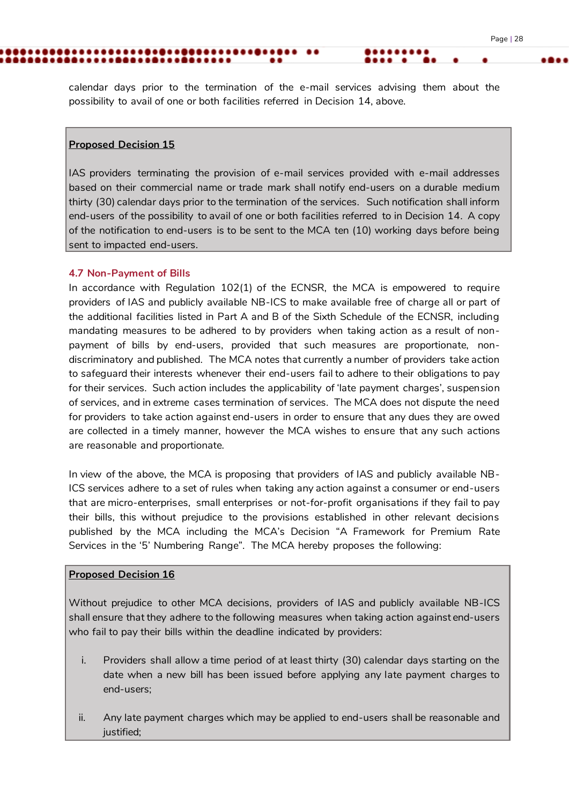calendar days prior to the termination of the e-mail services advising them about the possibility to avail of one or both facilities referred in Decision 14, above.

..

#### **Proposed Decision 15**

IAS providers terminating the provision of e-mail services provided with e-mail addresses based on their commercial name or trade mark shall notify end-users on a durable medium thirty (30) calendar days prior to the termination of the services. Such notification shall inform end-users of the possibility to avail of one or both facilities referred to in Decision 14. A copy of the notification to end-users is to be sent to the MCA ten (10) working days before being sent to impacted end-users.

#### <span id="page-27-0"></span>**4.7 Non-Payment of Bills**

In accordance with Regulation 102(1) of the ECNSR, the MCA is empowered to require providers of IAS and publicly available NB-ICS to make available free of charge all or part of the additional facilities listed in Part A and B of the Sixth Schedule of the ECNSR, including mandating measures to be adhered to by providers when taking action as a result of nonpayment of bills by end-users, provided that such measures are proportionate, nondiscriminatory and published. The MCA notes that currently a number of providers take action to safeguard their interests whenever their end-users fail to adhere to their obligations to pay for their services. Such action includes the applicability of 'late payment charges', suspension of services, and in extreme cases termination of services. The MCA does not dispute the need for providers to take action against end-users in order to ensure that any dues they are owed are collected in a timely manner, however the MCA wishes to ensure that any such actions are reasonable and proportionate.

In view of the above, the MCA is proposing that providers of IAS and publicly available NB-ICS services adhere to a set of rules when taking any action against a consumer or end-users that are micro-enterprises, small enterprises or not-for-profit organisations if they fail to pay their bills, this without prejudice to the provisions established in other relevant decisions published by the MCA including the MCA's Decision "A Framework for Premium Rate Services in the '5' Numbering Range". The MCA hereby proposes the following:

#### **Proposed Decision 16**

Without prejudice to other MCA decisions, providers of IAS and publicly available NB-ICS shall ensure that they adhere to the following measures when taking action against end-users who fail to pay their bills within the deadline indicated by providers:

- i. Providers shall allow a time period of at least thirty (30) calendar days starting on the date when a new bill has been issued before applying any late payment charges to end-users;
- ii. Any late payment charges which may be applied to end-users shall be reasonable and justified;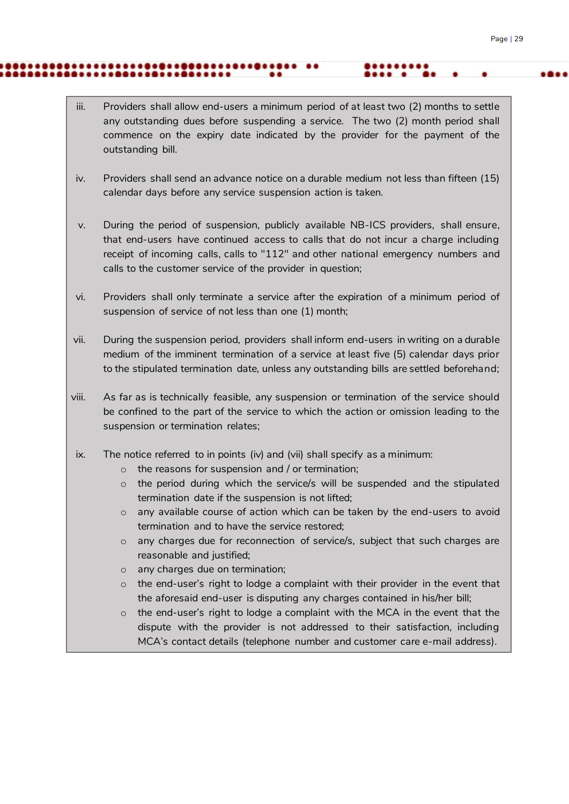iii. Providers shall allow end-users a minimum period of at least two (2) months to settle any outstanding dues before suspending a service. The two (2) month period shall commence on the expiry date indicated by the provider for the payment of the outstanding bill.

..

- iv. Providers shall send an advance notice on a durable medium not less than fifteen (15) calendar days before any service suspension action is taken.
- v. During the period of suspension, publicly available NB-ICS providers, shall ensure, that end-users have continued access to calls that do not incur a charge including receipt of incoming calls, calls to "112" and other national emergency numbers and calls to the customer service of the provider in question;
- vi. Providers shall only terminate a service after the expiration of a minimum period of suspension of service of not less than one (1) month;
- vii. During the suspension period, providers shall inform end-users in writing on a durable medium of the imminent termination of a service at least five (5) calendar days prior to the stipulated termination date, unless any outstanding bills are settled beforehand;
- viii. As far as is technically feasible, any suspension or termination of the service should be confined to the part of the service to which the action or omission leading to the suspension or termination relates;
- ix. The notice referred to in points (iv) and (vii) shall specify as a minimum:
	- o the reasons for suspension and / or termination;
	- o the period during which the service/s will be suspended and the stipulated termination date if the suspension is not lifted;
	- o any available course of action which can be taken by the end-users to avoid termination and to have the service restored;
	- o any charges due for reconnection of service/s, subject that such charges are reasonable and justified;
	- o any charges due on termination;
	- the end-user's right to lodge a complaint with their provider in the event that the aforesaid end-user is disputing any charges contained in his/her bill;
	- o the end-user's right to lodge a complaint with the MCA in the event that the dispute with the provider is not addressed to their satisfaction, including MCA's contact details (telephone number and customer care e-mail address).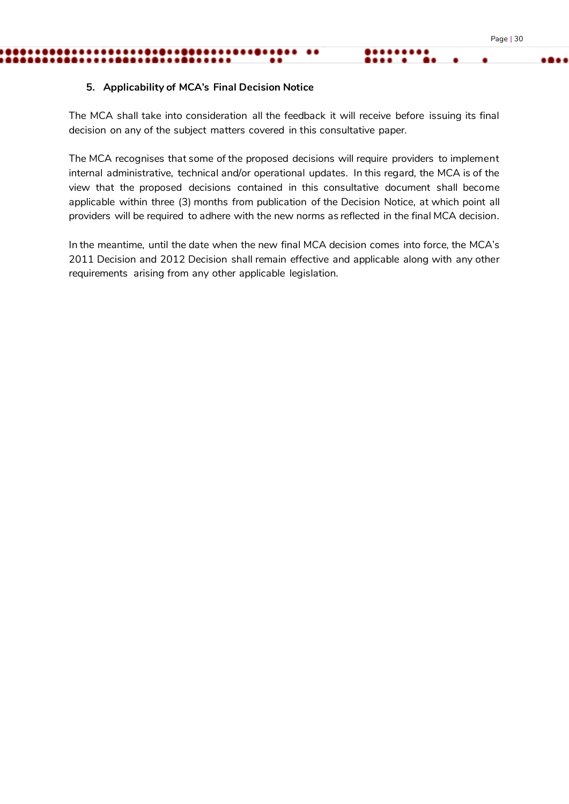#### <span id="page-29-0"></span>**5. Applicability of MCA's Final Decision Notice**

.......

The MCA shall take into consideration all the feedback it will receive before issuing its final decision on any of the subject matters covered in this consultative paper.

The MCA recognises that some of the proposed decisions will require providers to implement internal administrative, technical and/or operational updates. In this regard, the MCA is of the view that the proposed decisions contained in this consultative document shall become applicable within three (3) months from publication of the Decision Notice, at which point all providers will be required to adhere with the new norms as reflected in the final MCA decision.

In the meantime, until the date when the new final MCA decision comes into force, the MCA's 2011 Decision and 2012 Decision shall remain effective and applicable along with any other requirements arising from any other applicable legislation.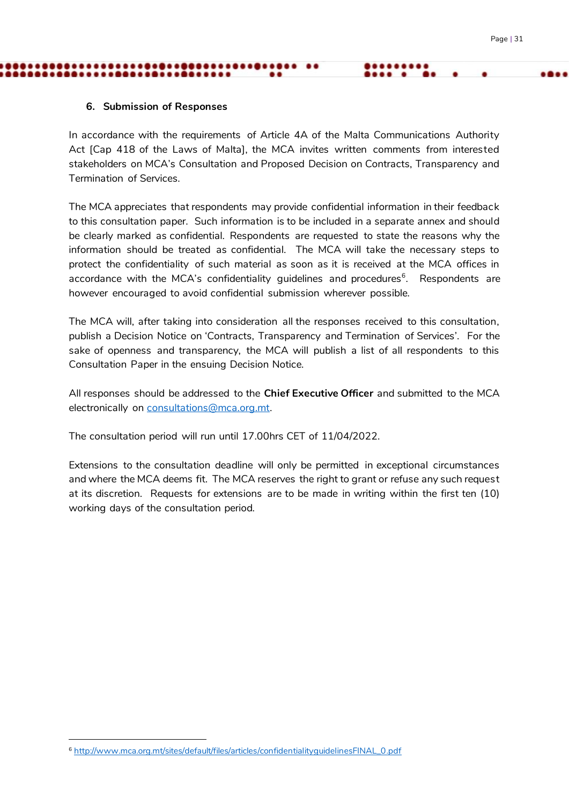# <span id="page-30-0"></span>**6. Submission of Responses**

In accordance with the requirements of Article 4A of the Malta Communications Authority Act [Cap 418 of the Laws of Malta], the MCA invites written comments from interested stakeholders on MCA's Consultation and Proposed Decision on Contracts, Transparency and Termination of Services.

The MCA appreciates that respondents may provide confidential information in their feedback to this consultation paper. Such information is to be included in a separate annex and should be clearly marked as confidential. Respondents are requested to state the reasons why the information should be treated as confidential. The MCA will take the necessary steps to protect the confidentiality of such material as soon as it is received at the MCA offices in accordance with the MCA's confidentiality guidelines and procedures<sup>6</sup>. Respondents are however encouraged to avoid confidential submission wherever possible.

The MCA will, after taking into consideration all the responses received to this consultation, publish a Decision Notice on 'Contracts, Transparency and Termination of Services'. For the sake of openness and transparency, the MCA will publish a list of all respondents to this Consultation Paper in the ensuing Decision Notice.

All responses should be addressed to the **Chief Executive Officer** and submitted to the MCA electronically on consultations@mca.org.mt.

The consultation period will run until 17.00hrs CET of 11/04/2022.

Extensions to the consultation deadline will only be permitted in exceptional circumstances and where the MCA deems fit. The MCA reserves the right to grant or refuse any such request at its discretion. Requests for extensions are to be made in writing within the first ten (10) working days of the consultation period.

1

<sup>6</sup> [http://www.mca.org.mt/sites/default/files/articles/confidentialityguidelinesFINAL\\_0.pdf](http://www.mca.org.mt/sites/default/files/articles/confidentialityguidelinesFINAL_0.pdf)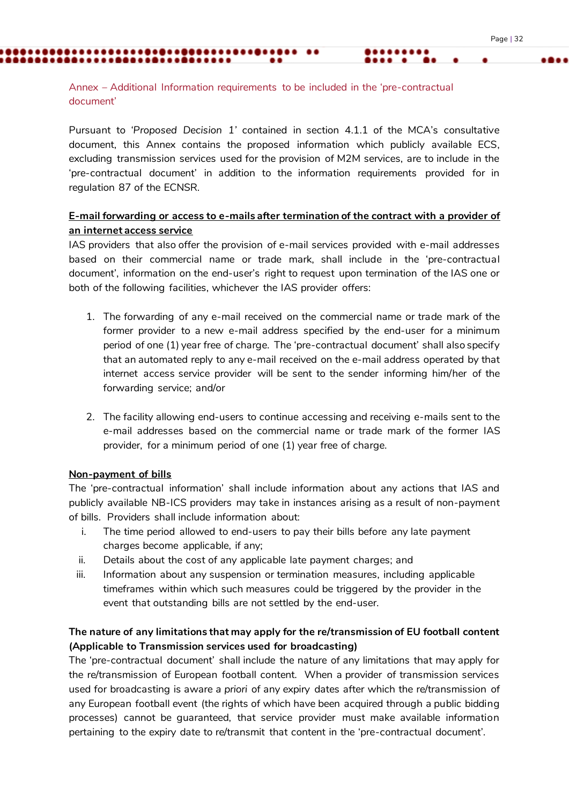<span id="page-31-0"></span>Annex – Additional Information requirements to be included in the 'pre-contractual document'

Pursuant to *'Proposed Decision 1'* contained in section 4.1.1 of the MCA's consultative document, this Annex contains the proposed information which publicly available ECS, excluding transmission services used for the provision of M2M services, are to include in the 'pre-contractual document' in addition to the information requirements provided for in regulation 87 of the ECNSR.

# **E-mail forwarding or access to e-mails after termination of the contract with a provider of an internet access service**

IAS providers that also offer the provision of e-mail services provided with e-mail addresses based on their commercial name or trade mark, shall include in the 'pre-contractual document', information on the end-user's right to request upon termination of the IAS one or both of the following facilities, whichever the IAS provider offers:

- 1. The forwarding of any e-mail received on the commercial name or trade mark of the former provider to a new e-mail address specified by the end-user for a minimum period of one (1) year free of charge. The 'pre-contractual document' shall also specify that an automated reply to any e-mail received on the e-mail address operated by that internet access service provider will be sent to the sender informing him/her of the forwarding service; and/or
- 2. The facility allowing end-users to continue accessing and receiving e-mails sent to the e-mail addresses based on the commercial name or trade mark of the former IAS provider, for a minimum period of one (1) year free of charge.

#### **Non-payment of bills**

The 'pre-contractual information' shall include information about any actions that IAS and publicly available NB-ICS providers may take in instances arising as a result of non-payment of bills. Providers shall include information about:

- i. The time period allowed to end-users to pay their bills before any late payment charges become applicable, if any;
- ii. Details about the cost of any applicable late payment charges; and
- iii. Information about any suspension or termination measures, including applicable timeframes within which such measures could be triggered by the provider in the event that outstanding bills are not settled by the end-user.

# **The nature of any limitations that may apply for the re/transmission of EU football content (Applicable to Transmission services used for broadcasting)**

The 'pre-contractual document' shall include the nature of any limitations that may apply for the re/transmission of European football content. When a provider of transmission services used for broadcasting is aware *a priori* of any expiry dates after which the re/transmission of any European football event (the rights of which have been acquired through a public bidding processes) cannot be guaranteed, that service provider must make available information pertaining to the expiry date to re/transmit that content in the 'pre-contractual document'.